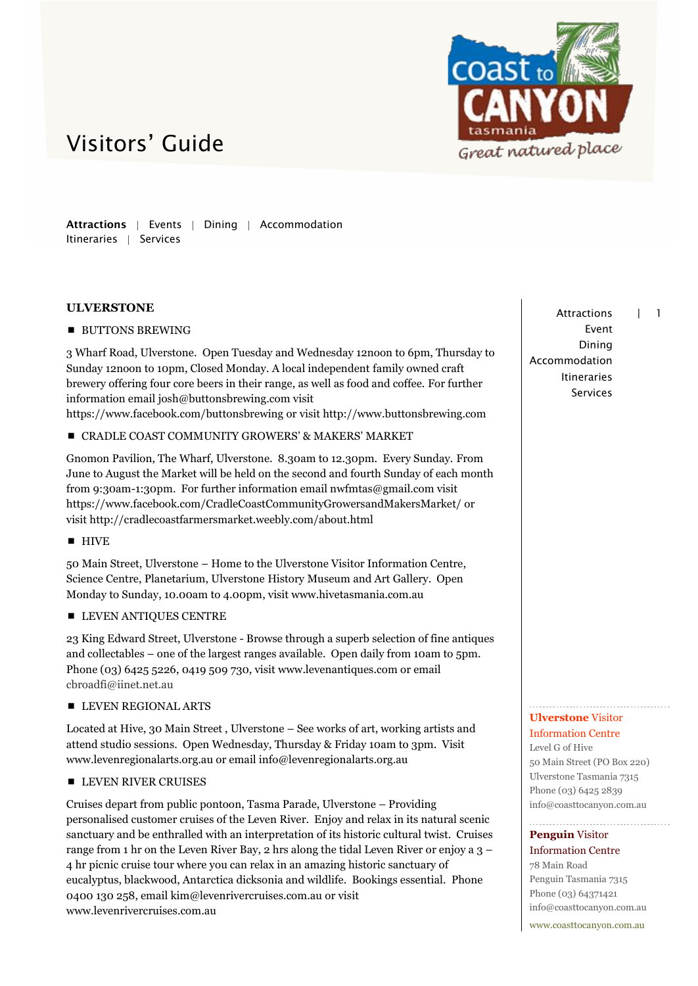

Attractions | Events | Dining | Accommodation Itineraries | Services

## **ULVERSTONE**

**BUTTONS BREWING** 

3 Wharf Road, Ulverstone. Open Tuesday and Wednesday 12noon to 6pm, Thursday to Sunday 12noon to 10pm, Closed Monday. A local independent family owned craft brewery offering four core beers in their range, as well as food and coffee. For further information email josh@buttonsbrewing.com visit

https://www.facebook.com/buttonsbrewing or visit http://www.buttonsbrewing.com

## CRADLE COAST COMMUNITY GROWERS' & MAKERS' MARKET

Gnomon Pavilion, The Wharf, Ulverstone. 8.30am to 12.30pm. Every Sunday. From June to August the Market will be held on the second and fourth Sunday of each month from 9:30am-1:30pm. For further information email nwfmtas@gmail.com visit https://www.facebook.com/CradleCoastCommunityGrowersandMakersMarket/ or visit http://cradlecoastfarmersmarket.weebly.com/about.html

 $HIVE$ 

50 Main Street, Ulverstone – Home to the Ulverstone Visitor Information Centre, Science Centre, Planetarium, Ulverstone History Museum and Art Gallery. Open Monday to Sunday, 10.00am to 4.00pm, visit www.hivetasmania.com.au

**LEVEN ANTIQUES CENTRE** 

23 King Edward Street, Ulverstone - Browse through a superb selection of fine antiques and collectables – one of the largest ranges available. Open daily from 10am to 5pm. Phone (03) 6425 5226, 0419 509 730, visit www.levenantiques.com or email cbroadfi@iinet.net.au

**LEVEN REGIONAL ARTS** 

Located at Hive, 30 Main Street , Ulverstone – See works of art, working artists and attend studio sessions. Open Wednesday, Thursday & Friday 10am to 3pm. Visit www.levenregionalarts.org.au or email info@levenregionalarts.org.au

### **LEVEN RIVER CRUISES**

Cruises depart from public pontoon, Tasma Parade, Ulverstone – Providing personalised customer cruises of the Leven River. Enjoy and relax in its natural scenic sanctuary and be enthralled with an interpretation of its historic cultural twist. Cruises range from 1 hr on the Leven River Bay, 2 hrs along the tidal Leven River or enjoy a 3 – 4 hr picnic cruise tour where you can relax in an amazing historic sanctuary of eucalyptus, blackwood, Antarctica dicksonia and wildlife. Bookings essential. Phone 0400 130 258, emai[l kim@levenrivercruises.com.au](mailto:kim@levenrivercruises.com.au) or visit www.levenrivercruises.com.au

Attractions | 1 Event Dining Accommodation Itineraries Services

### **Ulverstone** Visitor Information Centre

Level G of Hive 50 Main Street (PO Box 220) Ulverstone Tasmania 7315 Phone (03) 6425 2839 info@coasttocanyon.com.au

## **Penguin** Visitor

Information Centre 78 Main Road Penguin Tasmania 7315 Phone (03) 64371421 info@coasttocanyon.com.au www.coasttocanyon.com.au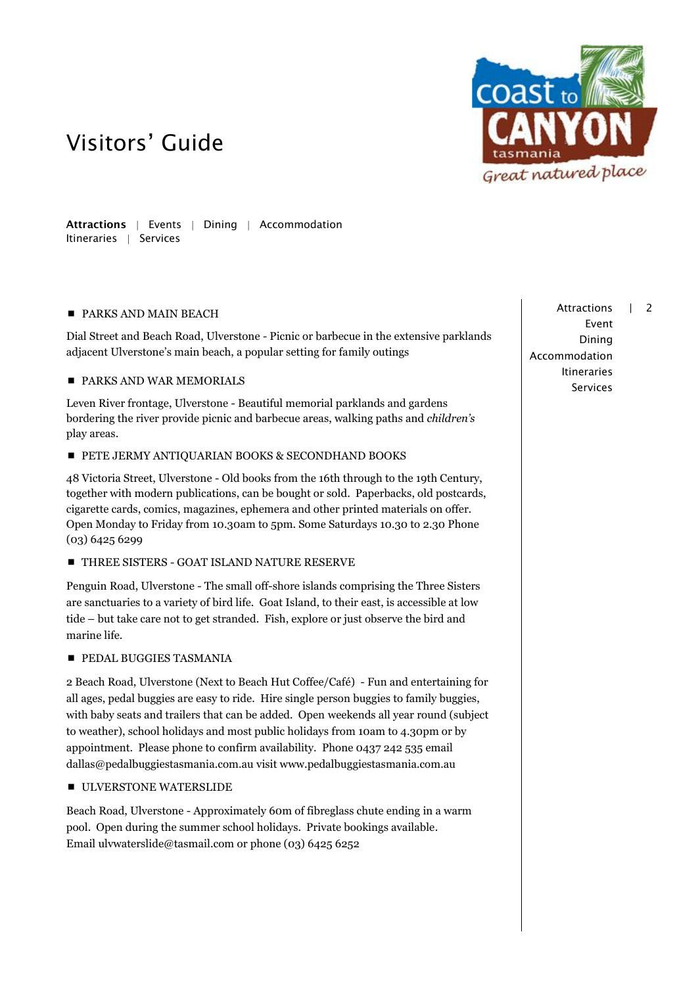

Attractions | Events | Dining | Accommodation Itineraries | Services

### **PARKS AND MAIN BEACH**

Dial Street and Beach Road, Ulverstone - Picnic or barbecue in the extensive parklands adjacent Ulverstone's main beach, a popular setting for family outings

## **PARKS AND WAR MEMORIALS**

Leven River frontage, Ulverstone - Beautiful memorial parklands and gardens bordering the river provide picnic and barbecue areas, walking paths and *children's* play areas.

### **PETE JERMY ANTIQUARIAN BOOKS & SECONDHAND BOOKS**

48 Victoria Street, Ulverstone - Old books from the 16th through to the 19th Century, together with modern publications, can be bought or sold. Paperbacks, old postcards, cigarette cards, comics, magazines, ephemera and other printed materials on offer. Open Monday to Friday from 10.30am to 5pm. Some Saturdays 10.30 to 2.30 Phone (03) 6425 6299

### **THREE SISTERS - GOAT ISLAND NATURE RESERVE**

Penguin Road, Ulverstone - The small off-shore islands comprising the Three Sisters are sanctuaries to a variety of bird life. Goat Island, to their east, is accessible at low tide – but take care not to get stranded. Fish, explore or just observe the bird and marine life.

## **PEDAL BUGGIES TASMANIA**

2 Beach Road, Ulverstone (Next to Beach Hut Coffee/Café) - Fun and entertaining for all ages, pedal buggies are easy to ride. Hire single person buggies to family buggies, with baby seats and trailers that can be added. Open weekends all year round (subject to weather), school holidays and most public holidays from 10am to 4.30pm or by appointment. Please phone to confirm availability. Phone 0437 242 535 email [dallas@pedalbuggiestasmania.com.au](mailto:dallas@pedalbuggiestasmania.com.au) visit [www.pedalbuggiestasmania.com.au](http://www.pedalbuggiestasmania.com.au/)

## ULVERSTONE WATERSLIDE

Beach Road, Ulverstone - Approximately 60m of fibreglass chute ending in a warm pool. Open during the summer school holidays. Private bookings available. Email [ulvwaterslide@tasmail.com](mailto:ulvwaterslide@tasmail.com) or phone (03) 6425 6252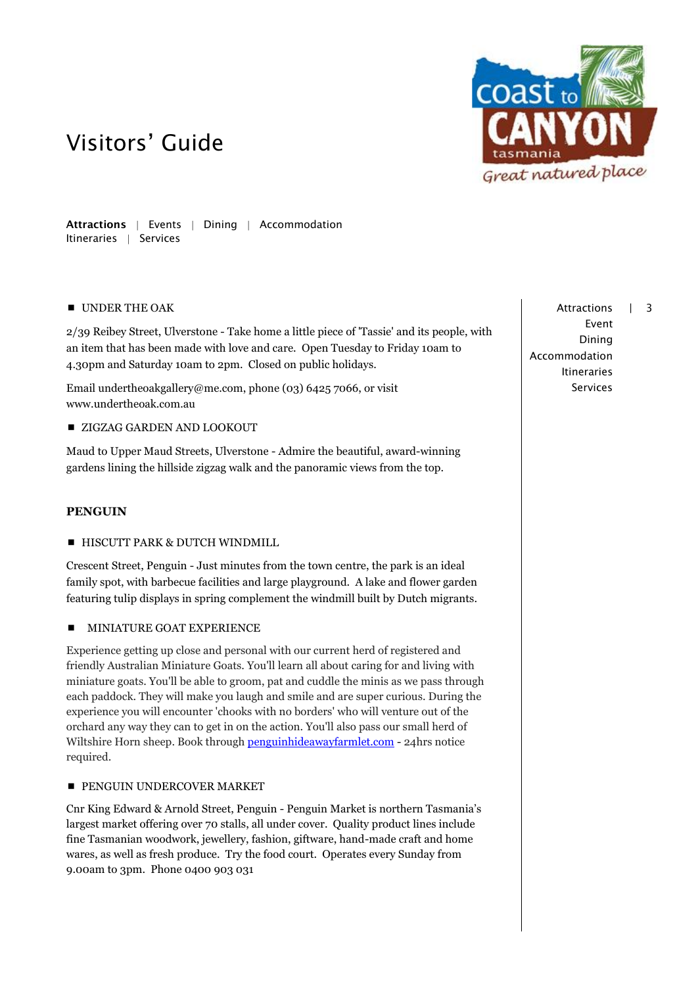

Attractions | Events | Dining | Accommodation Itineraries | Services

## UNDER THE OAK

2/39 Reibey Street, Ulverstone - Take home a little piece of 'Tassie' and its people, with an item that has been made with love and care. Open Tuesday to Friday 10am to 4.30pm and Saturday 10am to 2pm. Closed on public holidays.

Email undertheoakgallery@me.com, phone (03) 6425 7066, or visit [www.undertheoak.com.au](http://www.undertheoak.com.au/)

### **EXIGZAG GARDEN AND LOOKOUT**

Maud to Upper Maud Streets, Ulverstone - Admire the beautiful, award-winning gardens lining the hillside zigzag walk and the panoramic views from the top.

### **PENGUIN**

### **HISCUTT PARK & DUTCH WINDMILL**

Crescent Street, Penguin - Just minutes from the town centre, the park is an ideal family spot, with barbecue facilities and large playground. A lake and flower garden featuring tulip displays in spring complement the windmill built by Dutch migrants.

### **MINIATURE GOAT EXPERIENCE**

Experience getting up close and personal with our current herd of registered and friendly Australian Miniature Goats. You'll learn all about caring for and living with miniature goats. You'll be able to groom, pat and cuddle the minis as we pass through each paddock. They will make you laugh and smile and are super curious. During the experience you will encounter 'chooks with no borders' who will venture out of the orchard any way they can to get in on the action. You'll also pass our small herd of Wiltshire Horn sheep. Book through **penguinhideawayfarmlet.com** - 24hrs notice required.

### **PENGUIN UNDERCOVER MARKET**

Cnr King Edward & Arnold Street, Penguin - Penguin Market is northern Tasmania's largest market offering over 70 stalls, all under cover. Quality product lines include fine Tasmanian woodwork, jewellery, fashion, giftware, hand-made craft and home wares, as well as fresh produce. Try the food court. Operates every Sunday from 9.00am to 3pm. Phone 0400 903 031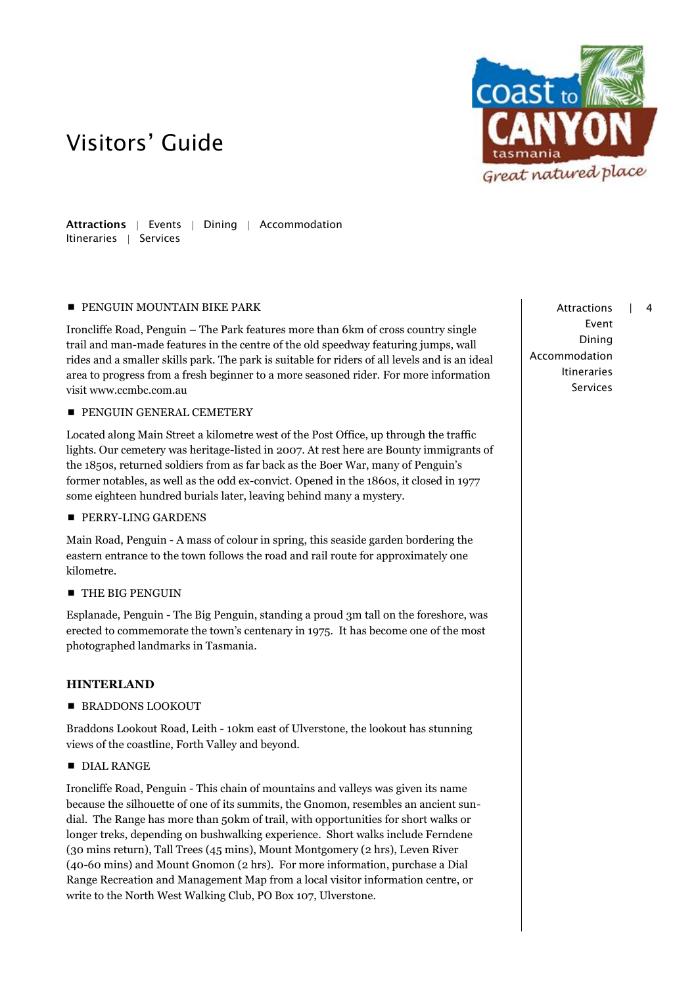

Attractions | Events | Dining | Accommodation Itineraries | Services

### **PENGUIN MOUNTAIN BIKE PARK**

Ironcliffe Road, Penguin – The Park features more than 6km of cross country single trail and man-made features in the centre of the old speedway featuring jumps, wall rides and a smaller skills park. The park is suitable for riders of all levels and is an ideal area to progress from a fresh beginner to a more seasoned rider. For more information visit www.ccmbc.com.au

**PENGUIN GENERAL CEMETERY** 

Located along Main Street a kilometre west of the Post Office, up through the traffic lights. Our cemetery was heritage-listed in 2007. At rest here are Bounty immigrants of the 1850s, returned soldiers from as far back as the Boer War, many of Penguin's former notables, as well as the odd ex-convict. Opened in the 1860s, it closed in 1977 some eighteen hundred burials later, leaving behind many a mystery.

**PERRY-LING GARDENS** 

Main Road, Penguin - A mass of colour in spring, this seaside garden bordering the eastern entrance to the town follows the road and rail route for approximately one kilometre.

**THE BIG PENGUIN** 

Esplanade, Penguin - The Big Penguin, standing a proud 3m tall on the foreshore, was erected to commemorate the town's centenary in 1975. It has become one of the most photographed landmarks in Tasmania.

### **HINTERLAND**

**BRADDONS LOOKOUT** 

Braddons Lookout Road, Leith - 10km east of Ulverstone, the lookout has stunning views of the coastline, Forth Valley and beyond.

**DIAL RANGE** 

Ironcliffe Road, Penguin - This chain of mountains and valleys was given its name because the silhouette of one of its summits, the Gnomon, resembles an ancient sundial. The Range has more than 50km of trail, with opportunities for short walks or longer treks, depending on bushwalking experience. Short walks include Ferndene (30 mins return), Tall Trees (45 mins), Mount Montgomery (2 hrs), Leven River (40-60 mins) and Mount Gnomon (2 hrs). For more information, purchase a Dial Range Recreation and Management Map from a local visitor information centre, or write to the North West Walking Club, PO Box 107, Ulverstone.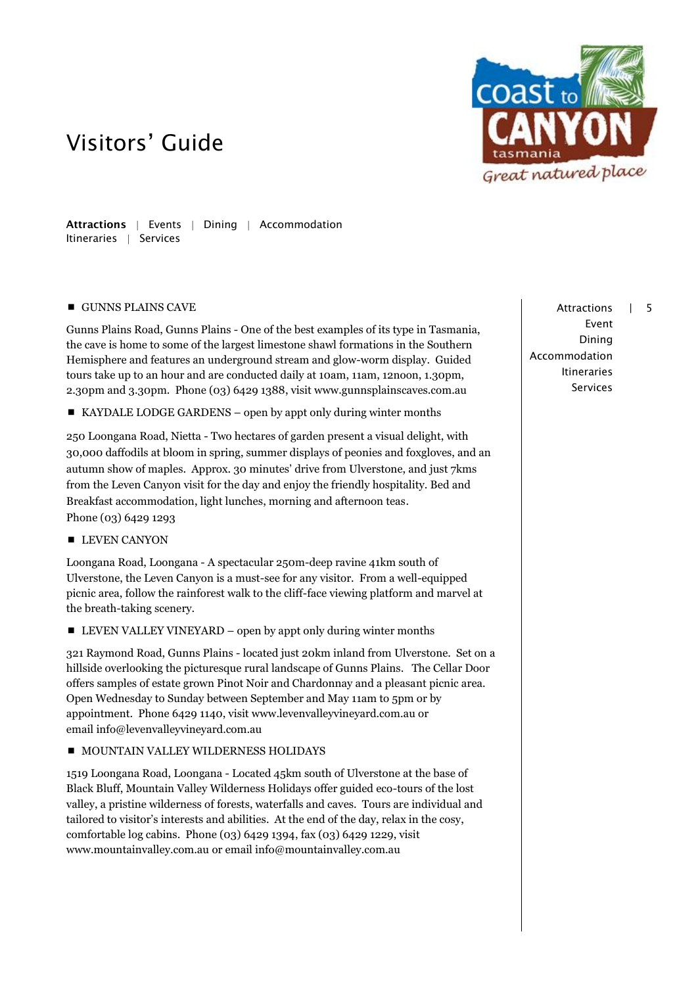

Attractions | Events | Dining | Accommodation Itineraries | Services

### **GUNNS PLAINS CAVE**

Gunns Plains Road, Gunns Plains - One of the best examples of its type in Tasmania, the cave is home to some of the largest limestone shawl formations in the Southern Hemisphere and features an underground stream and glow-worm display. Guided tours take up to an hour and are conducted daily at 10am, 11am, 12noon, 1.30pm, 2.30pm and 3.30pm. Phone (03) 6429 1388, visit [www.gunnsplainscaves.com.au](http://www.gunnsplainscaves.com.au/)

■ KAYDALE LODGE GARDENS – open by appt only during winter months

250 Loongana Road, Nietta - Two hectares of garden present a visual delight, with 30,000 daffodils at bloom in spring, summer displays of peonies and foxgloves, and an autumn show of maples. Approx. 30 minutes' drive from Ulverstone, and just 7kms from the Leven Canyon visit for the day and enjoy the friendly hospitality. Bed and Breakfast accommodation, light lunches, morning and afternoon teas. Phone (03) 6429 1293

**LEVEN CANYON** 

Loongana Road, Loongana - A spectacular 250m-deep ravine 41km south of Ulverstone, the Leven Canyon is a must-see for any visitor. From a well-equipped picnic area, follow the rainforest walk to the cliff-face viewing platform and marvel at the breath-taking scenery.

■ LEVEN VALLEY VINEYARD – open by appt only during winter months

321 Raymond Road, Gunns Plains - located just 20km inland from Ulverstone. Set on a hillside overlooking the picturesque rural landscape of Gunns Plains. The Cellar Door offers samples of estate grown Pinot Noir and Chardonnay and a pleasant picnic area. Open Wednesday to Sunday between September and May 11am to 5pm or by appointment. Phone 6429 1140, visit www.levenvalleyvineyard.com.au or email info@levenvalleyvineyard.com.au

## $\blacksquare$  MOUNTAIN VALLEY WILDERNESS HOLIDAYS

1519 Loongana Road, Loongana - Located 45km south of Ulverstone at the base of Black Bluff, Mountain Valley Wilderness Holidays offer guided eco-tours of the lost valley, a pristine wilderness of forests, waterfalls and caves. Tours are individual and tailored to visitor's interests and abilities. At the end of the day, relax in the cosy, comfortable log cabins. Phone (03) 6429 1394, fax (03) 6429 1229, visit [www.mountainvalley.com.au](http://www.mountainvalley.com.au/) or email info@mountainvalley.com.au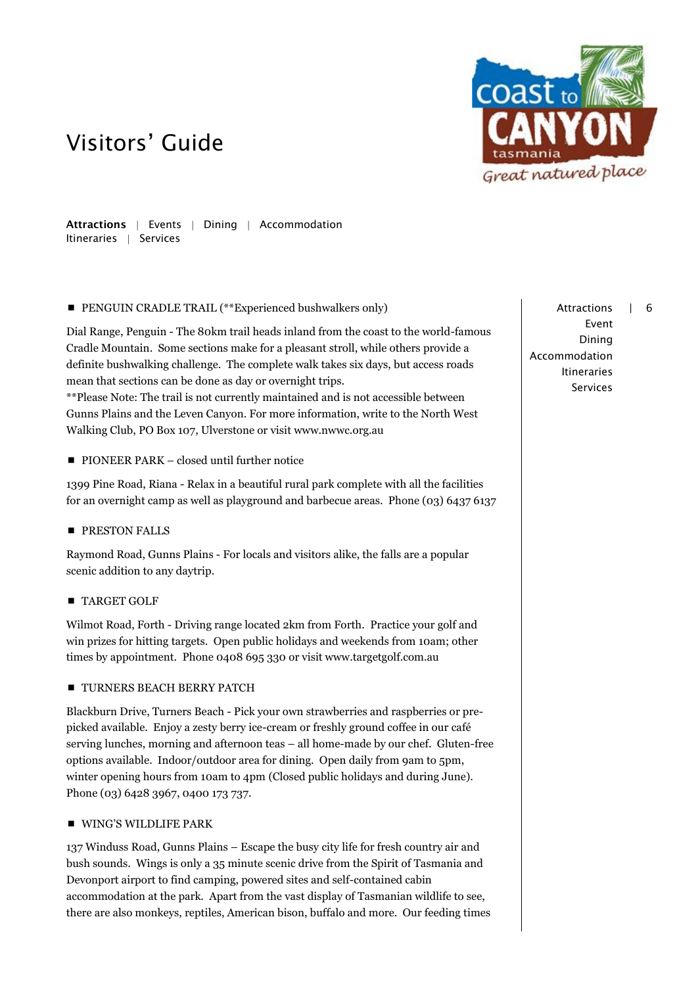

Attractions | Events | Dining | Accommodation Itineraries | Services

**PENGUIN CRADLE TRAIL (\*\*Experienced bushwalkers only)** 

Dial Range, Penguin - The 80km trail heads inland from the coast to the world-famous Cradle Mountain. Some sections make for a pleasant stroll, while others provide a definite bushwalking challenge. The complete walk takes six days, but access roads mean that sections can be done as day or overnight trips.

\*\*Please Note: The trail is not currently maintained and is not accessible between Gunns Plains and the Leven Canyon. For more information, write to the North West Walking Club, PO Box 107, Ulverstone or visit [www.nwwc.org.au](http://www.nwwc.org.au/)

■ PIONEER PARK – closed until further notice

1399 Pine Road, Riana - Relax in a beautiful rural park complete with all the facilities for an overnight camp as well as playground and barbecue areas. Phone (03) 6437 6137

**PRESTON FALLS** 

Raymond Road, Gunns Plains - For locals and visitors alike, the falls are a popular scenic addition to any daytrip.

**TARGET GOLF** 

Wilmot Road, Forth - Driving range located 2km from Forth. Practice your golf and win prizes for hitting targets. Open public holidays and weekends from 10am; other times by appointment. Phone 0408 695 330 or visit www.targetgolf.com.au

## **TURNERS BEACH BERRY PATCH**

Blackburn Drive, Turners Beach - Pick your own strawberries and raspberries or prepicked available. Enjoy a zesty berry ice-cream or freshly ground coffee in our café serving lunches, morning and afternoon teas – all home-made by our chef. Gluten-free options available. Indoor/outdoor area for dining. Open daily from 9am to 5pm, winter opening hours from 10am to 4pm (Closed public holidays and during June). Phone (03) 6428 3967, 0400 173 737.

## WING'S WILDLIFE PARK

137 Winduss Road, Gunns Plains – Escape the busy city life for fresh country air and bush sounds. Wings is only a 35 minute scenic drive from the Spirit of Tasmania and Devonport airport to find camping, powered sites and self-contained cabin accommodation at the park. Apart from the vast display of Tasmanian wildlife to see, there are also monkeys, reptiles, American bison, buffalo and more. Our feeding times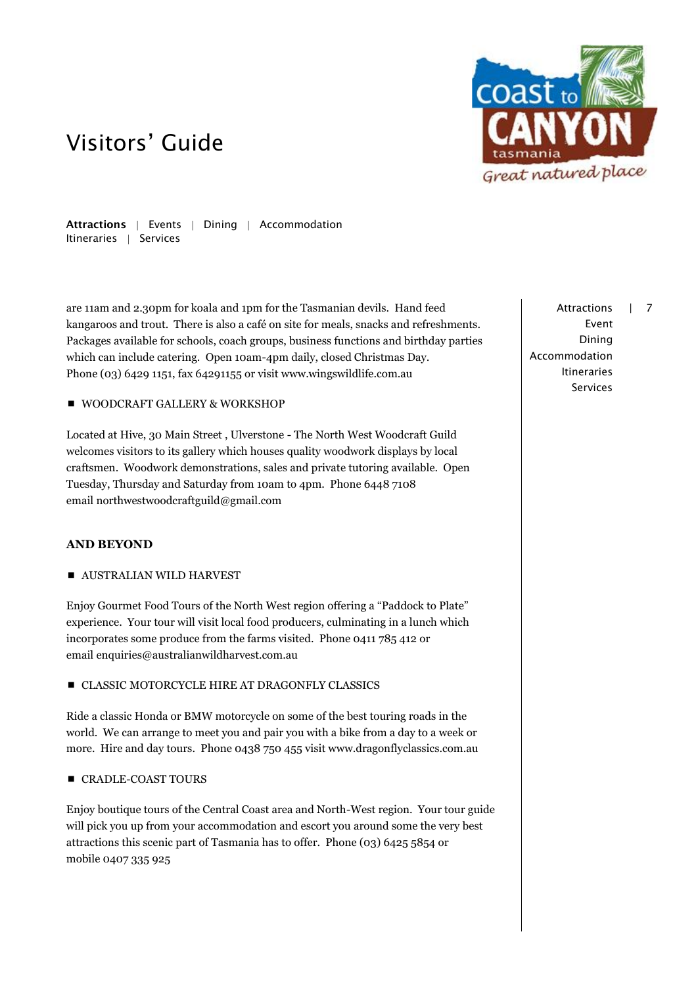

Attractions | Events | Dining | Accommodation Itineraries | Services

are 11am and 2.30pm for koala and 1pm for the Tasmanian devils. Hand feed kangaroos and trout. There is also a café on site for meals, snacks and refreshments. Packages available for schools, coach groups, business functions and birthday parties which can include catering. Open 10am-4pm daily, closed Christmas Day. Phone (03) 6429 1151, fax 64291155 or visit [www.wingswildlife.com.au](http://www.wingswildlife.com.au/)

### WOODCRAFT GALLERY & WORKSHOP

Located at Hive, 30 Main Street , Ulverstone - The North West Woodcraft Guild welcomes visitors to its gallery which houses quality woodwork displays by local craftsmen. Woodwork demonstrations, sales and private tutoring available. Open Tuesday, Thursday and Saturday from 10am to 4pm. Phone 6448 7108 email northwestwoodcraftguild@gmail.com

### **AND BEYOND**

**AUSTRALIAN WILD HARVEST** 

Enjoy Gourmet Food Tours of the North West region offering a "Paddock to Plate" experience. Your tour will visit local food producers, culminating in a lunch which incorporates some produce from the farms visited. Phone 0411 785 412 or email enquiries@australianwildharvest.com.au

**CLASSIC MOTORCYCLE HIRE AT DRAGONFLY CLASSICS** 

Ride a classic Honda or BMW motorcycle on some of the best touring roads in the world. We can arrange to meet you and pair you with a bike from a day to a week or more. Hire and day tours. Phone 0438 750 455 visit www.dragonflyclassics.com.au

### **CRADLE-COAST TOURS**

Enjoy boutique tours of the Central Coast area and North-West region. Your tour guide will pick you up from your accommodation and escort you around some the very best attractions this scenic part of Tasmania has to offer. Phone (03) 6425 5854 or mobile 0407 335 925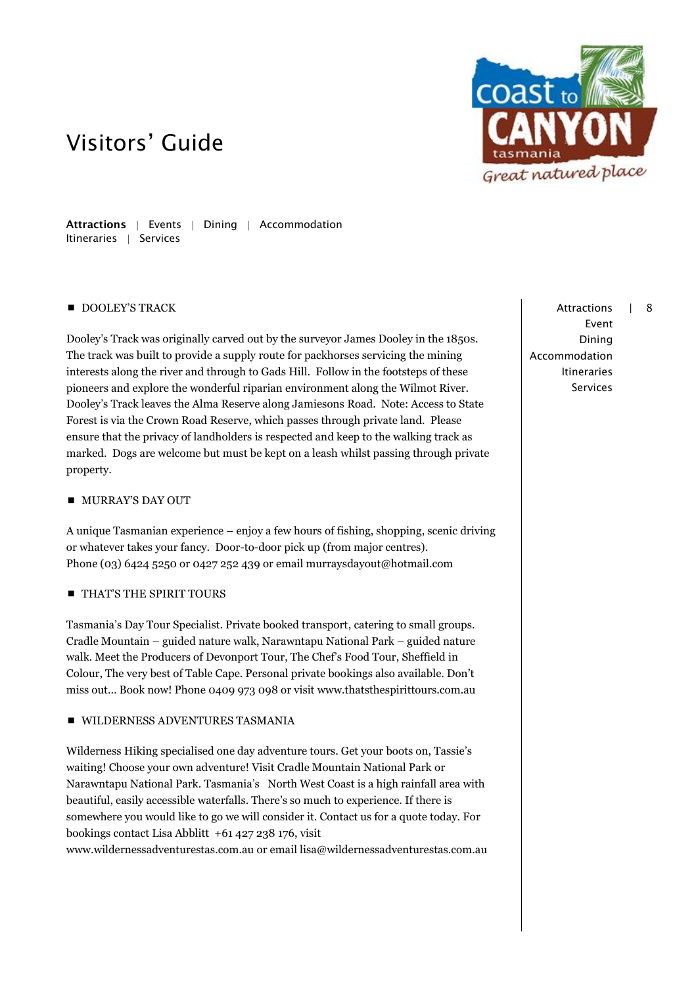

Attractions | Events | Dining | Accommodation Itineraries | Services

### DOOLEY'S TRACK

Dooley's Track was originally carved out by the surveyor James Dooley in the 1850s. The track was built to provide a supply route for packhorses servicing the mining interests along the river and through to Gads Hill. Follow in the footsteps of these pioneers and explore the wonderful riparian environment along the Wilmot River. Dooley's Track leaves the Alma Reserve along Jamiesons Road. Note: Access to State Forest is via the Crown Road Reserve, which passes through private land. Please ensure that the privacy of landholders is respected and keep to the walking track as marked. Dogs are welcome but must be kept on a leash whilst passing through private property.

### **MURRAY'S DAY OUT**

A unique Tasmanian experience – enjoy a few hours of fishing, shopping, scenic driving or whatever takes your fancy. Door-to-door pick up (from major centres). Phone (03) 6424 5250 or 0427 252 439 or email [murraysdayout@hotmail.com](mailto:murraysdayout@hotmail.com)

## **THAT'S THE SPIRIT TOURS**

Tasmania's Day Tour Specialist. Private booked transport, catering to small groups. Cradle Mountain – guided nature walk, Narawntapu National Park – guided nature walk. Meet the Producers of Devonport Tour, The Chef's Food Tour, Sheffield in Colour, The very best of Table Cape. Personal private bookings also available. Don't miss out… Book now! Phone 0409 973 098 or visit www.thatsthespirittours.com.au

### **WILDERNESS ADVENTURES TASMANIA**

Wilderness Hiking specialised one day adventure tours. Get your boots on, Tassie's waiting! Choose your own adventure! Visit Cradle Mountain National Park or Narawntapu National Park. Tasmania's North West Coast is a high rainfall area with beautiful, easily accessible waterfalls. There's so much to experience. If there is somewhere you would like to go we will consider it. Contact us for a quote today. For bookings contact Lisa Abblitt +61 427 238 176, visit

www.wildernessadventurestas.com.au or email lisa@wildernessadventurestas.com.au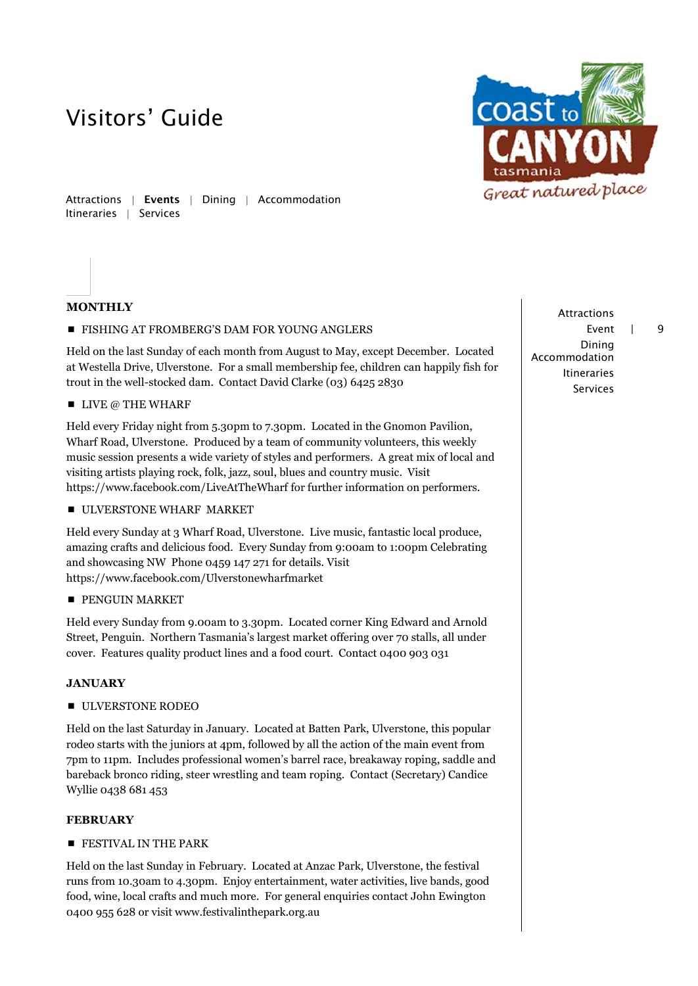

Attractions | Events | Dining | Accommodation Itineraries | Services

## **MONTHLY**

**FISHING AT FROMBERG'S DAM FOR YOUNG ANGLERS** 

Held on the last Sunday of each month from August to May, except December. Located at Westella Drive, Ulverstone. For a small membership fee, children can happily fish for trout in the well-stocked dam. Contact David Clarke (03) 6425 2830

 $\blacksquare$  LIVE @ THE WHARF

Held every Friday night from 5.30pm to 7.30pm. Located in the Gnomon Pavilion, Wharf Road, Ulverstone. Produced by a team of community volunteers, this weekly music session presents a wide variety of styles and performers. A great mix of local and visiting artists playing rock, folk, jazz, soul, blues and country music. Visit <https://www.facebook.com/LiveAtTheWharf> for further information on performers.

**ULVERSTONE WHARF MARKET** 

Held every Sunday at 3 Wharf Road, Ulverstone. Live music, fantastic local produce, amazing crafts and delicious food. Every Sunday from 9:00am to 1:00pm Celebrating and showcasing NW Phone 0459 147 271 for details. Visit https://www.facebook.com/Ulverstonewharfmarket

**PENGUIN MARKET** 

Held every Sunday from 9.00am to 3.30pm. Located corner King Edward and Arnold Street, Penguin. Northern Tasmania's largest market offering over 70 stalls, all under cover. Features quality product lines and a food court. Contact 0400 903 031

### **JANUARY**

**ULVERSTONE RODEO** 

Held on the last Saturday in January. Located at Batten Park, Ulverstone, this popular rodeo starts with the juniors at 4pm, followed by all the action of the main event from 7pm to 11pm. Includes professional women's barrel race, breakaway roping, saddle and bareback bronco riding, steer wrestling and team roping. Contact (Secretary) Candice Wyllie 0438 681 453

### **FEBRUARY**

**FESTIVAL IN THE PARK** 

Held on the last Sunday in February. Located at Anzac Park, Ulverstone, the festival runs from 10.30am to 4.30pm. Enjoy entertainment, water activities, live bands, good food, wine, local crafts and much more. For general enquiries contact John Ewington 0400 955 628 or visit www.festivalinthepark.org.au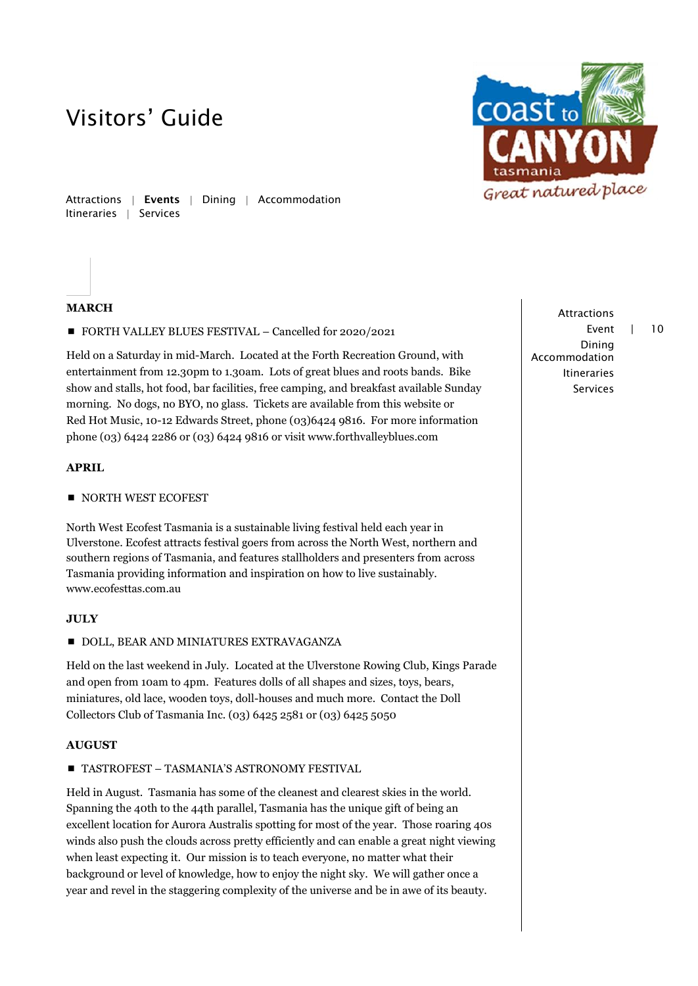

Attractions | Events | Dining | Accommodation Itineraries | Services

### **MARCH**

■ FORTH VALLEY BLUES FESTIVAL – Cancelled for 2020/2021

Held on a Saturday in mid-March. Located at the Forth Recreation Ground, with entertainment from 12.30pm to 1.30am. Lots of great blues and roots bands. Bike show and stalls, hot food, bar facilities, free camping, and breakfast available Sunday morning. No dogs, no BYO, no glass. Tickets are available from this website or Red Hot Music, 10-12 Edwards Street, phone (03)6424 9816. For more information phone (03) 6424 2286 or (03) 6424 9816 or visit www.forthvalleyblues.com

### **APRIL**

NORTH WEST ECOFEST

North West Ecofest Tasmania is a sustainable living festival held each year in Ulverstone. Ecofest attracts festival goers from across the North West, northern and southern regions of Tasmania, and features stallholders and presenters from across Tasmania providing information and inspiration on how to live sustainably. www.ecofesttas.com.au

### **JULY**

#### **DOLL, BEAR AND MINIATURES EXTRAVAGANZA**

Held on the last weekend in July. Located at the Ulverstone Rowing Club, Kings Parade and open from 10am to 4pm. Features dolls of all shapes and sizes, toys, bears, miniatures, old lace, wooden toys, doll-houses and much more. Contact the Doll Collectors Club of Tasmania Inc. (03) 6425 2581 or (03) 6425 5050

### **AUGUST**

### TASTROFEST – TASMANIA'S ASTRONOMY FESTIVAL

Held in August. Tasmania has some of the cleanest and clearest skies in the world. Spanning the 40th to the 44th parallel, Tasmania has the unique gift of being an excellent location for Aurora Australis spotting for most of the year. Those roaring 40s winds also push the clouds across pretty efficiently and can enable a great night viewing when least expecting it. Our mission is to teach everyone, no matter what their background or level of knowledge, how to enjoy the night sky. We will gather once a year and revel in the staggering complexity of the universe and be in awe of its beauty.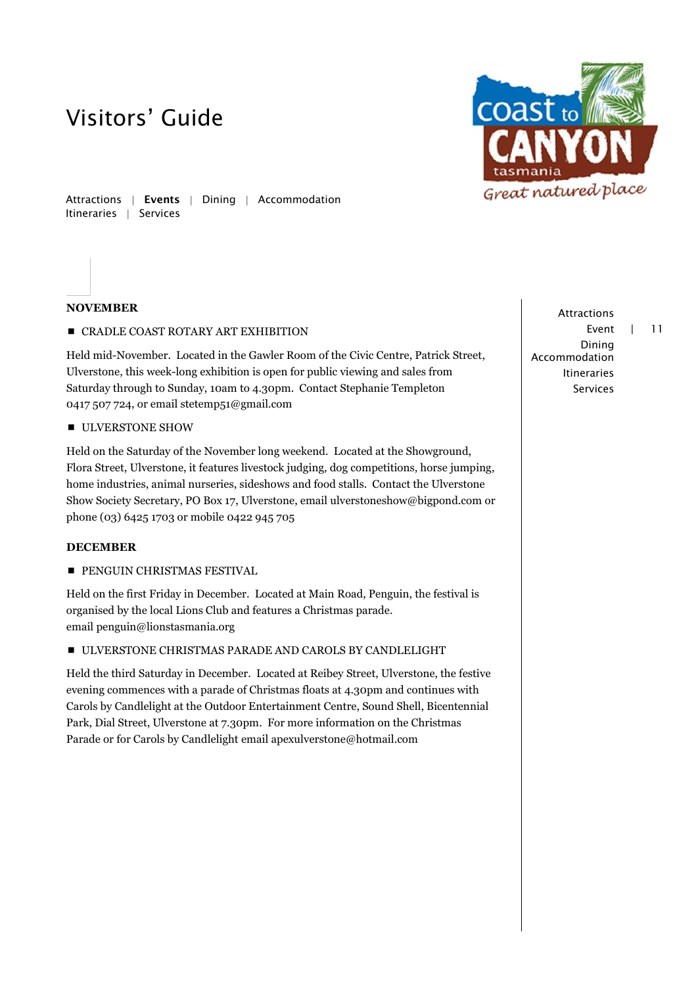

Attractions | Events | Dining | Accommodation Itineraries | Services

### **NOVEMBER**

**CRADLE COAST ROTARY ART EXHIBITION** 

Held mid-November. Located in the Gawler Room of the Civic Centre, Patrick Street, Ulverstone, this week-long exhibition is open for public viewing and sales from Saturday through to Sunday, 10am to 4.30pm. Contact Stephanie Templeton 0417 507 724, or email stetemp51@gmail.com

**ULVERSTONE SHOW** 

Held on the Saturday of the November long weekend. Located at the Showground, Flora Street, Ulverstone, it features livestock judging, dog competitions, horse jumping, home industries, animal nurseries, sideshows and food stalls. Contact the Ulverstone Show Society Secretary, PO Box 17, Ulverstone, email ulverstoneshow@bigpond.com or phone (03) 6425 1703 or mobile 0422 945 705

### **DECEMBER**

**PENGUIN CHRISTMAS FESTIVAL** 

Held on the first Friday in December. Located at Main Road, Penguin, the festival is organised by the local Lions Club and features a Christmas parade. email penguin@lionstasmania.org

ULVERSTONE CHRISTMAS PARADE AND CAROLS BY CANDLELIGHT

Held the third Saturday in December. Located at Reibey Street, Ulverstone, the festive evening commences with a parade of Christmas floats at 4.30pm and continues with Carols by Candlelight at the Outdoor Entertainment Centre, Sound Shell, Bicentennial Park, Dial Street, Ulverstone at 7.30pm. For more information on the Christmas Parade or for Carols by Candlelight email apexulverstone@hotmail.com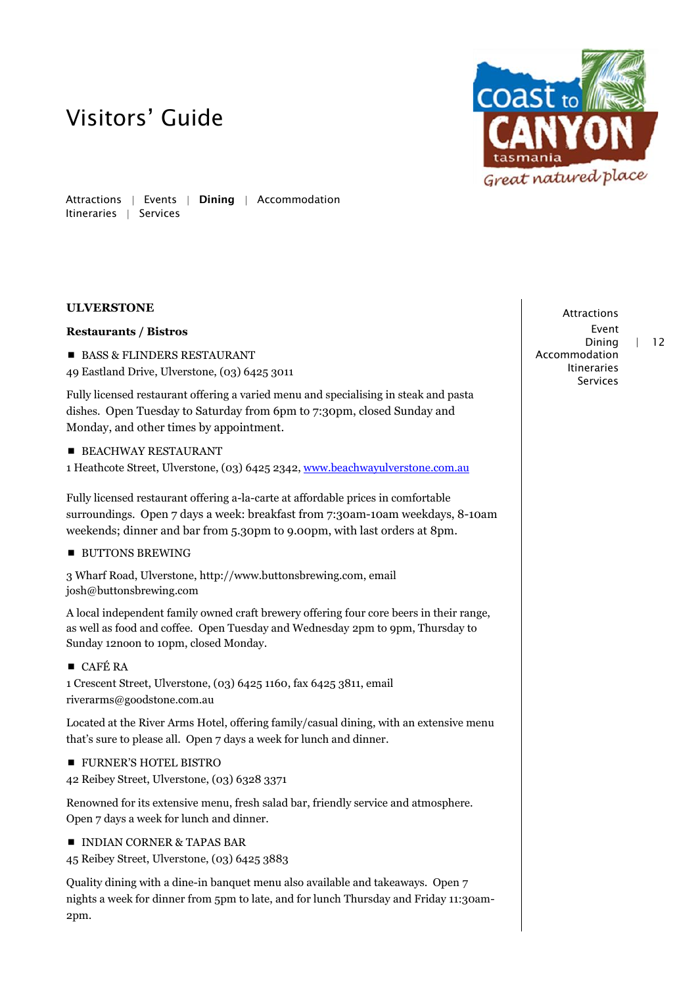

Attractions | Events | Dining | Accommodation Itineraries | Services

## **ULVERSTONE**

### **Restaurants / Bistros**

- BASS & FLINDERS RESTAURANT
- 49 Eastland Drive, Ulverstone, (03) 6425 3011

Fully licensed restaurant offering a varied menu and specialising in steak and pasta dishes. Open Tuesday to Saturday from 6pm to 7:30pm, closed Sunday and Monday, and other times by appointment.

- **BEACHWAY RESTAURANT**
- 1 Heathcote Street, Ulverstone, (03) 6425 2342, [www.beachwayulverstone.com.au](http://www.beachwayulverstone.com.au/)

Fully licensed restaurant offering a-la-carte at affordable prices in comfortable surroundings. Open 7 days a week: breakfast from 7:30am-10am weekdays, 8-10am weekends; dinner and bar from 5.30pm to 9.00pm, with last orders at 8pm.

**BUTTONS BREWING** 

3 Wharf Road, Ulverstone, http://www.buttonsbrewing.com, email josh@buttonsbrewing.com

A local independent family owned craft brewery offering four core beers in their range, as well as food and coffee. Open Tuesday and Wednesday 2pm to 9pm, Thursday to Sunday 12noon to 10pm, closed Monday.

## ■ CAFÉ RA

1 Crescent Street, Ulverstone, (03) 6425 1160, fax 6425 3811, email riverarms@goodstone.com.au

Located at the River Arms Hotel, offering family/casual dining, with an extensive menu that's sure to please all. Open 7 days a week for lunch and dinner.

**FURNER'S HOTEL BISTRO** 

42 Reibey Street, Ulverstone, (03) 6328 3371

Renowned for its extensive menu, fresh salad bar, friendly service and atmosphere. Open 7 days a week for lunch and dinner.

 $\blacksquare$  INDIAN CORNER & TAPAS BAR

```
45 Reibey Street, Ulverstone, (03) 6425 3883
```
Quality dining with a dine-in banquet menu also available and takeaways. Open 7 nights a week for dinner from 5pm to late, and for lunch Thursday and Friday 11:30am-2pm.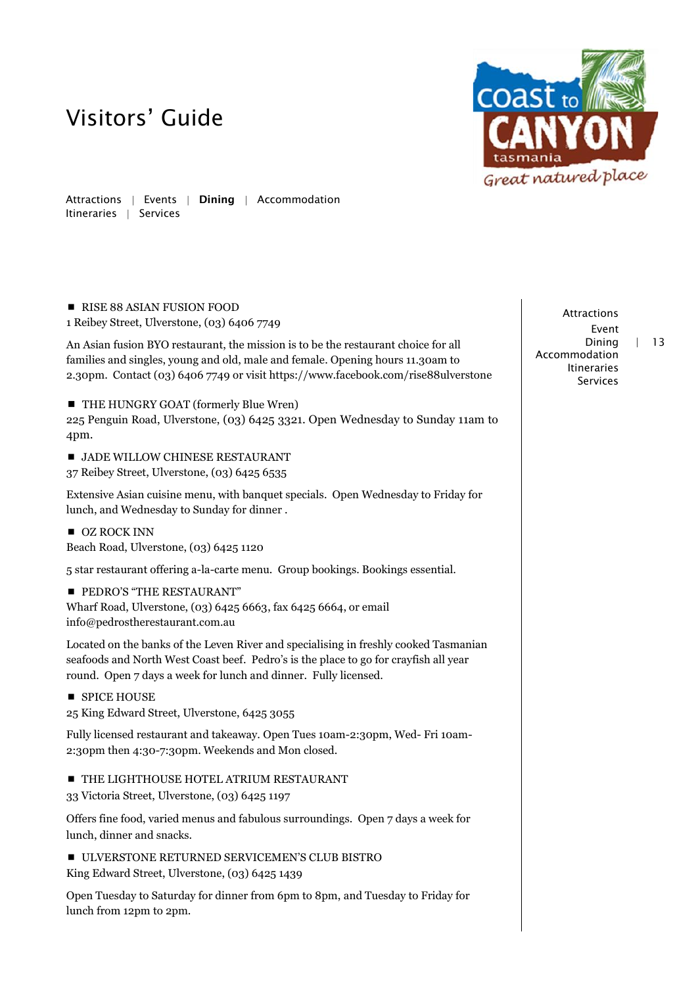

Attractions | Events | Dining | Accommodation Itineraries | Services

RISE 88 ASIAN FUSION FOOD

1 Reibey Street, Ulverstone, (03) 6406 7749

An Asian fusion BYO restaurant, the mission is to be the restaurant choice for all families and singles, young and old, male and female. Opening hours 11.30am to 2.30pm. Contact (03) 6406 7749 or visit https://www.facebook.com/rise88ulverstone

■ THE HUNGRY GOAT (formerly Blue Wren)

225 Penguin Road, Ulverstone, (03) 6425 3321. Open Wednesday to Sunday 11am to 4pm.

**JADE WILLOW CHINESE RESTAURANT** 

37 Reibey Street, Ulverstone, (03) 6425 6535

Extensive Asian cuisine menu, with banquet specials. Open Wednesday to Friday for lunch, and Wednesday to Sunday for dinner .

OZ ROCK INN Beach Road, Ulverstone, (03) 6425 1120

5 star restaurant offering a-la-carte menu. Group bookings. Bookings essential.

**PEDRO'S "THE RESTAURANT"** Wharf Road, Ulverstone, (03) 6425 6663, fax 6425 6664, or email info@pedrostherestaurant.com.au

Located on the banks of the Leven River and specialising in freshly cooked Tasmanian seafoods and North West Coast beef. Pedro's is the place to go for crayfish all year round. Open 7 days a week for lunch and dinner. Fully licensed.

**SPICE HOUSE** 25 King Edward Street, Ulverstone, 6425 3055

Fully licensed restaurant and takeaway. Open Tues 10am-2:30pm, Wed- Fri 10am-2:30pm then 4:30-7:30pm. Weekends and Mon closed.

**THE LIGHTHOUSE HOTEL ATRIUM RESTAURANT** 

33 Victoria Street, Ulverstone, (03) 6425 1197

Offers fine food, varied menus and fabulous surroundings. Open 7 days a week for lunch, dinner and snacks.

ULVERSTONE RETURNED SERVICEMEN'S CLUB BISTRO King Edward Street, Ulverstone, (03) 6425 1439

Open Tuesday to Saturday for dinner from 6pm to 8pm, and Tuesday to Friday for lunch from 12pm to 2pm.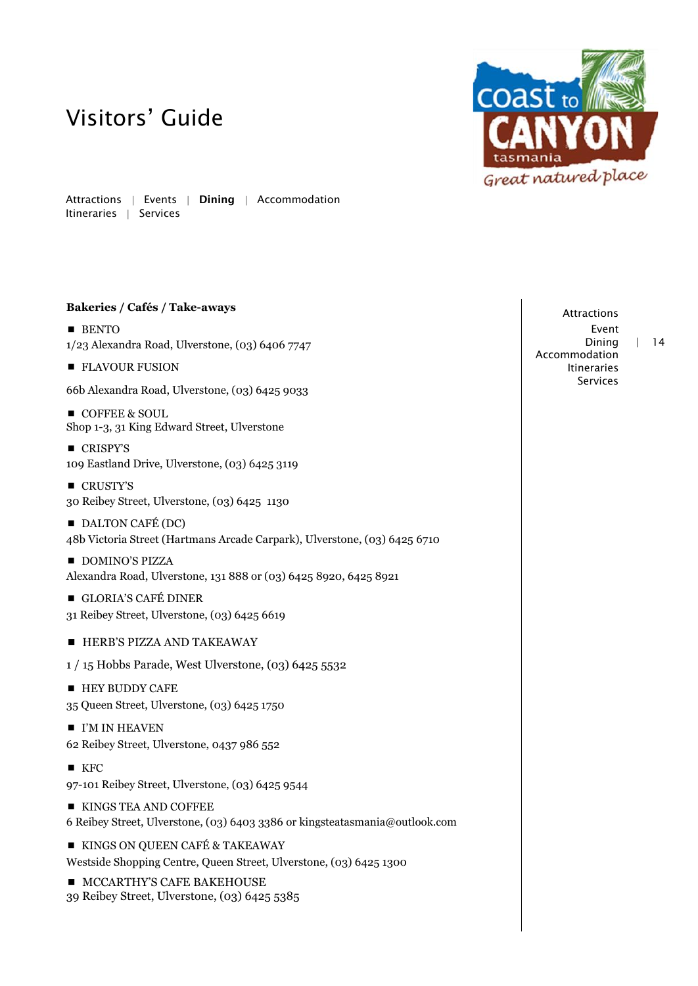Attractions | Events | Dining | Accommodation

## **Bakeries / Cafés / Take-aways**

**BENTO** 1/23 Alexandra Road, Ulverstone, (03) 6406 7747

**FLAVOUR FUSION** 

Itineraries | Services

66b Alexandra Road, Ulverstone, (03) 6425 9033

- COFFEE & SOUL Shop 1-3, 31 King Edward Street, Ulverstone
- CRISPY'S 109 Eastland Drive, Ulverstone, (03) 6425 3119
- CRUSTY'S 30 Reibey Street, Ulverstone, (03) 6425 1130
- DALTON CAFÉ (DC) 48b Victoria Street (Hartmans Arcade Carpark), Ulverstone, (03) 6425 6710
- **DOMINO'S PIZZA** Alexandra Road, Ulverstone, 131 888 or (03) 6425 8920, 6425 8921
- GLORIA'S CAFÉ DINER 31 Reibey Street, Ulverstone, (03) 6425 6619
- **HERB'S PIZZA AND TAKEAWAY**
- 1 / 15 Hobbs Parade, West Ulverstone, (03) 6425 5532
- **HEY BUDDY CAFE** 35 Queen Street, Ulverstone, (03) 6425 1750
- $\blacksquare$  I'M IN HEAVEN 62 Reibey Street, Ulverstone, 0437 986 552
- $KFC$
- 97-101 Reibey Street, Ulverstone, (03) 6425 9544
- KINGS TEA AND COFFEE 6 Reibey Street, Ulverstone, (03) 6403 3386 or kingsteatasmania@outlook.com
- **KINGS ON QUEEN CAFÉ & TAKEAWAY** Westside Shopping Centre, Queen Street, Ulverstone, (03) 6425 1300

**MCCARTHY'S CAFE BAKEHOUSE** 39 Reibey Street, Ulverstone, (03) 6425 5385

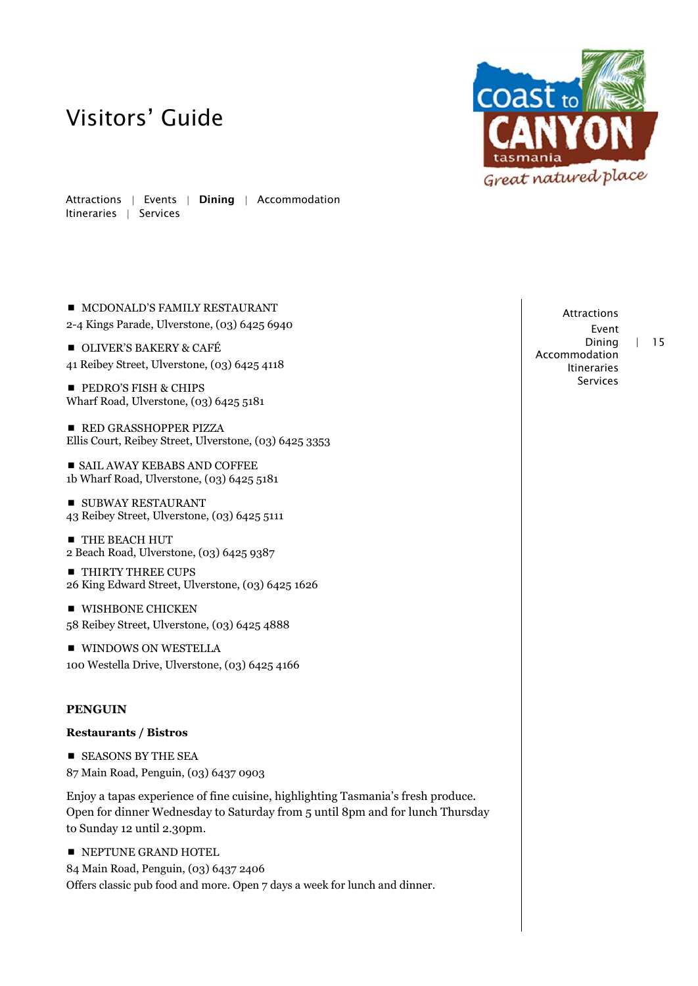Attractions | Events | Dining | Accommodation Itineraries | Services

- $\blacksquare$  MCDONALD'S FAMILY RESTAURANT
- 2-4 Kings Parade, Ulverstone, (03) 6425 6940
- **OLIVER'S BAKERY & CAFÉ** 41 Reibey Street, Ulverstone, (03) 6425 4118
- **PEDRO'S FISH & CHIPS** Wharf Road, Ulverstone, (03) 6425 5181

**RED GRASSHOPPER PIZZA** Ellis Court, Reibey Street, Ulverstone, (03) 6425 3353

 SAIL AWAY KEBABS AND COFFEE 1b Wharf Road, Ulverstone, (03) 6425 5181

**SUBWAY RESTAURANT** 43 Reibey Street, Ulverstone, (03) 6425 5111

**THE BEACH HUT** 2 Beach Road, Ulverstone, (03) 6425 9387

- **THIRTY THREE CUPS** 26 King Edward Street, Ulverstone, (03) 6425 1626
- **WISHBONE CHICKEN** 58 Reibey Street, Ulverstone, (03) 6425 4888

**WINDOWS ON WESTELLA** 100 Westella Drive, Ulverstone, (03) 6425 4166

### **PENGUIN**

#### **Restaurants / Bistros**

**EXECUTE:** SEASONS BY THE SEA 87 Main Road, Penguin, (03) 6437 0903

Enjoy a tapas experience of fine cuisine, highlighting Tasmania's fresh produce. Open for dinner Wednesday to Saturday from 5 until 8pm and for lunch Thursday to Sunday 12 until 2.30pm.

**NEPTUNE GRAND HOTEL** 84 Main Road, Penguin, (03) 6437 2406 Offers classic pub food and more. Open 7 days a week for lunch and dinner.

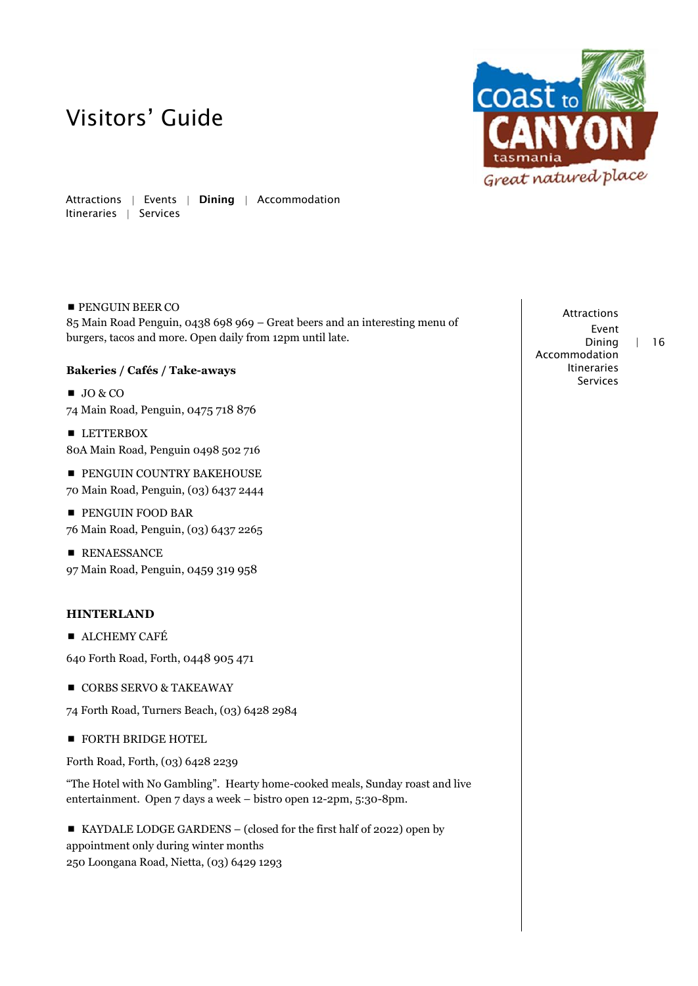

Attractions | Events | Dining | Accommodation Itineraries | Services

## **PENGUIN BEER CO**

85 Main Road Penguin, 0438 698 969 – Great beers and an interesting menu of burgers, tacos and more. Open daily from 12pm until late.

## **Bakeries / Cafés / Take-aways**

 $JO & CO$ 74 Main Road, Penguin, 0475 718 876

**LETTERBOX** 80A Main Road, Penguin 0498 502 716

**PENGUIN COUNTRY BAKEHOUSE** 

70 Main Road, Penguin, (03) 6437 2444

**PENGUIN FOOD BAR** 76 Main Road, Penguin, (03) 6437 2265

**RENAESSANCE** 97 Main Road, Penguin, 0459 319 958

## **HINTERLAND**

**ALCHEMY CAFÉ** 

640 Forth Road, Forth, 0448 905 471

CORBS SERVO & TAKEAWAY

74 Forth Road, Turners Beach, (03) 6428 2984

**FORTH BRIDGE HOTEL** 

Forth Road, Forth, (03) 6428 2239

"The Hotel with No Gambling". Hearty home-cooked meals, Sunday roast and live entertainment. Open 7 days a week – bistro open 12-2pm, 5:30-8pm.

 KAYDALE LODGE GARDENS – (closed for the first half of 2022) open by appointment only during winter months 250 Loongana Road, Nietta, (03) 6429 1293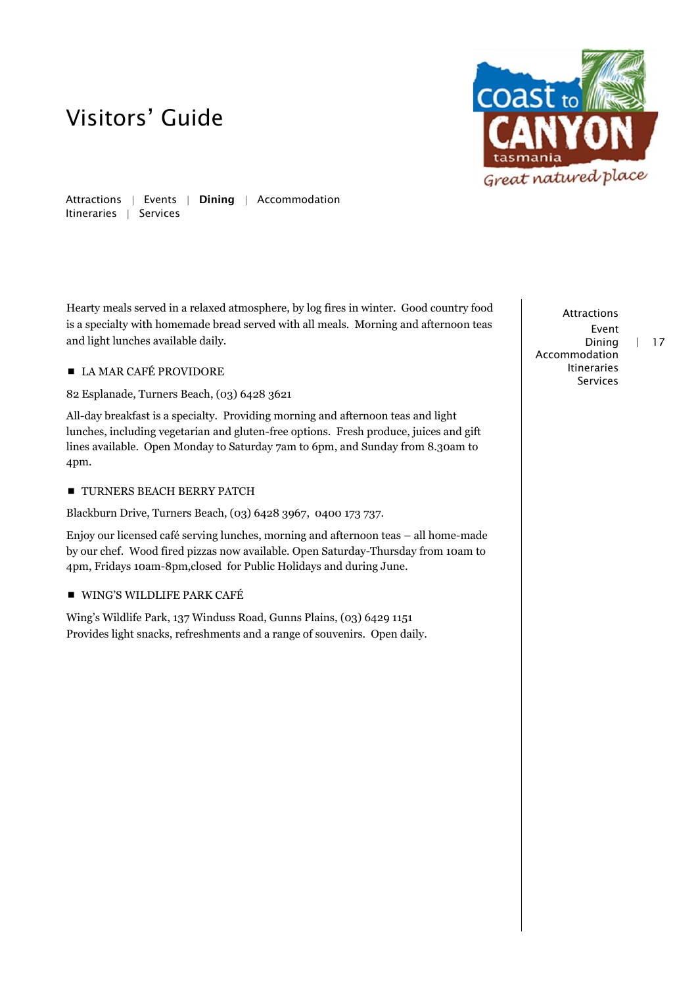

Attractions | Events | Dining | Accommodation Itineraries | Services

Hearty meals served in a relaxed atmosphere, by log fires in winter. Good country food is a specialty with homemade bread served with all meals. Morning and afternoon teas and light lunches available daily.

## ■ LA MAR CAFÉ PROVIDORE

82 Esplanade, Turners Beach, (03) 6428 3621

All-day breakfast is a specialty. Providing morning and afternoon teas and light lunches, including vegetarian and gluten-free options. Fresh produce, juices and gift lines available. Open Monday to Saturday 7am to 6pm, and Sunday from 8.30am to 4pm.

### **TURNERS BEACH BERRY PATCH**

Blackburn Drive, Turners Beach, (03) 6428 3967, 0400 173 737.

Enjoy our licensed café serving lunches, morning and afternoon teas – all home-made by our chef. Wood fired pizzas now available. Open Saturday-Thursday from 10am to 4pm, Fridays 10am-8pm,closed for Public Holidays and during June.

## WING'S WILDLIFE PARK CAFÉ

Wing's Wildlife Park, 137 Winduss Road, Gunns Plains, (03) 6429 1151 Provides light snacks, refreshments and a range of souvenirs. Open daily.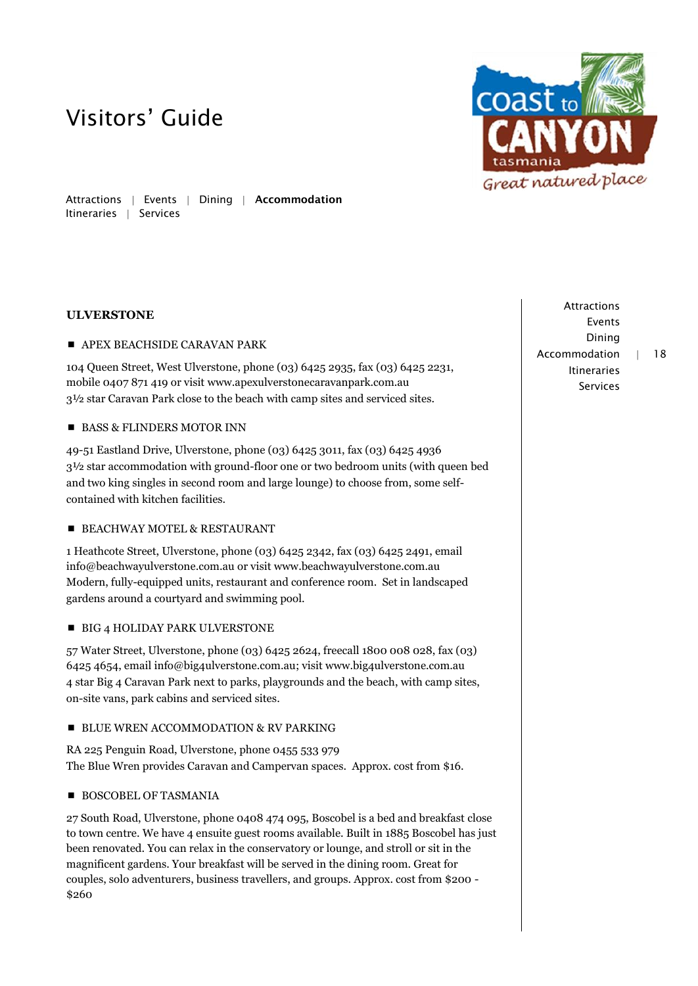

Attractions | Events | Dining | Accommodation Itineraries | Services

## **ULVERSTONE**

#### **APEX BEACHSIDE CARAVAN PARK**

104 Queen Street, West Ulverstone, phone (03) 6425 2935, fax (03) 6425 2231, mobile 0407 871 419 or visit www.apexulverstonecaravanpark.com.au 3½ star Caravan Park close to the beach with camp sites and serviced sites.

### BASS & FLINDERS MOTOR INN

49-51 Eastland Drive, Ulverstone, phone (03) 6425 3011, fax (03) 6425 4936 3½ star accommodation with ground-floor one or two bedroom units (with queen bed and two king singles in second room and large lounge) to choose from, some selfcontained with kitchen facilities.

### **BEACHWAY MOTEL & RESTAURANT**

1 Heathcote Street, Ulverstone, phone (03) 6425 2342, fax (03) 6425 2491, email info[@beachwayulverstone.com.au](http://beachwayulverstone.com.au/) or visit [www.beachwayulverstone.com.au](http://www.beachwayulverstone.com.au/) Modern, fully-equipped units, restaurant and conference room. Set in landscaped gardens around a courtyard and swimming pool.

#### **BIG 4 HOLIDAY PARK ULVERSTONE**

57 Water Street, Ulverstone, phone (03) 6425 2624, freecall 1800 008 028, fax (03) 6425 4654, emai[l info@big4ulverstone.com.au;](mailto:info@big4ulverstone.com.au) visit www.big4ulverstone.com.au 4 star Big 4 Caravan Park next to parks, playgrounds and the beach, with camp sites, on-site vans, park cabins and serviced sites.

### **BLUE WREN ACCOMMODATION & RV PARKING**

RA 225 Penguin Road, Ulverstone, phone 0455 533 979 The Blue Wren provides Caravan and Campervan spaces. Approx. cost from \$16.

### **BOSCOBEL OF TASMANIA**

27 South Road, Ulverstone, phone 0408 474 095, Boscobel is a bed and breakfast close to town centre. We have 4 ensuite guest rooms available. Built in 1885 Boscobel has just been renovated. You can relax in the conservatory or lounge, and stroll or sit in the magnificent gardens. Your breakfast will be served in the dining room. Great for couples, solo adventurers, business travellers, and groups. Approx. cost from \$200 - \$260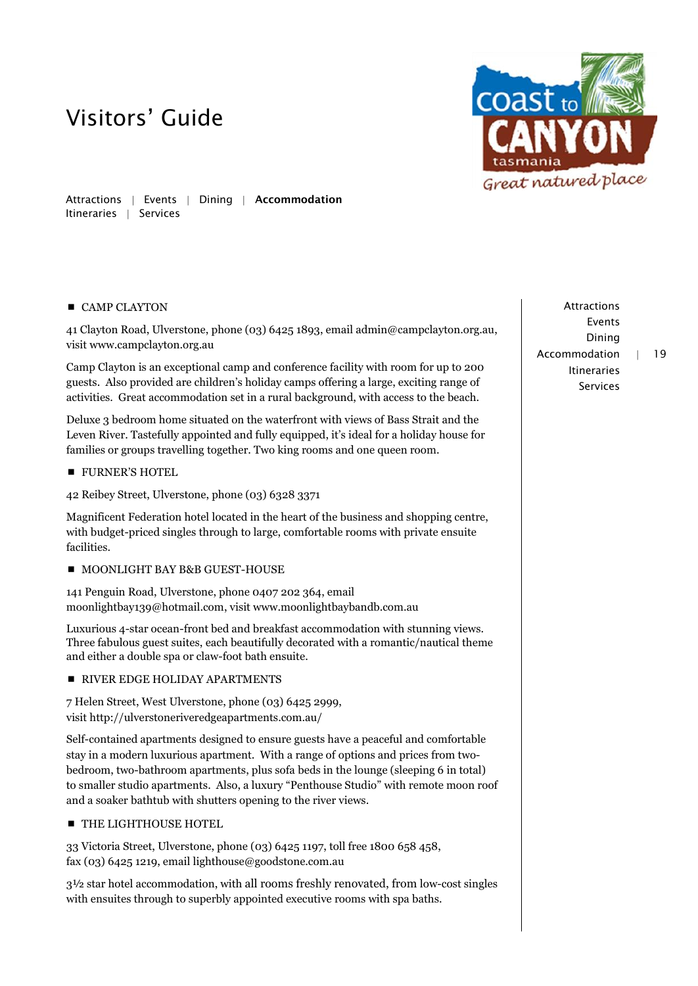

Attractions | Events | Dining | Accommodation Itineraries | Services

## ■ CAMP CLAYTON

41 Clayton Road, Ulverstone, phone (03) 6425 1893, email [admin@campclayton.org.au,](mailto:admin@campclayton.org.au) visi[t www.campclayton.org.au](http://www.campclayton.org.au/)

Camp Clayton is an exceptional camp and conference facility with room for up to 200 guests. Also provided are children's holiday camps offering a large, exciting range of activities. Great accommodation set in a rural background, with access to the beach.

Deluxe 3 bedroom home situated on the waterfront with views of Bass Strait and the Leven River. Tastefully appointed and fully equipped, it's ideal for a holiday house for families or groups travelling together. Two king rooms and one queen room.

**FURNER'S HOTEL** 

42 Reibey Street, Ulverstone, phone (03) 6328 3371

Magnificent Federation hotel located in the heart of the business and shopping centre, with budget-priced singles through to large, comfortable rooms with private ensuite facilities.

**MOONLIGHT BAY B&B GUEST-HOUSE** 

141 Penguin Road, Ulverstone, phone 0407 202 364, email moonlightbay139@hotmail.com, visit [www.m](http://www./)oonlightbaybandb.com.au

Luxurious 4-star ocean-front bed and breakfast accommodation with stunning views. Three fabulous guest suites, each beautifully decorated with a romantic/nautical theme and either a double spa or claw-foot bath ensuite.

**RIVER EDGE HOLIDAY APARTMENTS** 

7 Helen Street, West Ulverstone, phone (03) 6425 2999, visi[t http://ulverstoneriveredgeapartments.com.au/](http://ulverstoneriveredgeapartments.com.au/)

Self-contained apartments designed to ensure guests have a peaceful and comfortable stay in a modern luxurious apartment. With a range of options and prices from twobedroom, two-bathroom apartments, plus sofa beds in the lounge (sleeping 6 in total) to smaller studio apartments. Also, a luxury "Penthouse Studio" with remote moon roof and a soaker bathtub with shutters opening to the river views.

**THE LIGHTHOUSE HOTEL** 

33 Victoria Street, Ulverstone, phone (03) 6425 1197, toll free 1800 658 458, fax (03) 6425 1219, emai[l lighthouse@goodstone.com.au](mailto:lighthouse@goodstone.com.au)

3½ star hotel accommodation, with all rooms freshly renovated, from low-cost singles with ensuites through to superbly appointed executive rooms with spa baths.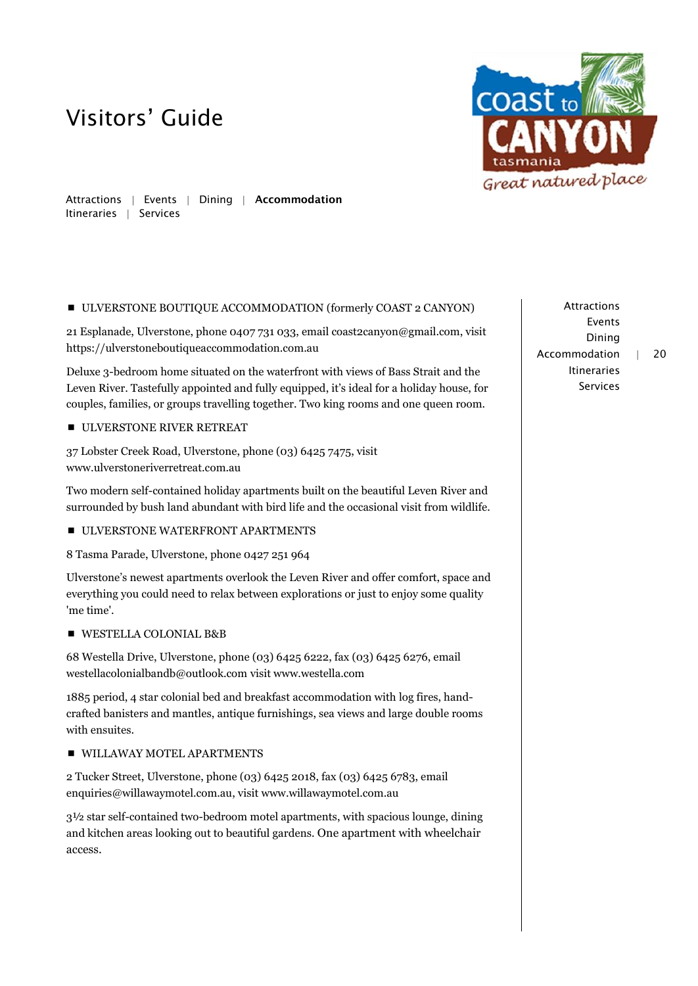

Attractions | Events | Dining | Accommodation Itineraries | Services

### ULVERSTONE BOUTIQUE ACCOMMODATION (formerly COAST 2 CANYON)

21 Esplanade, Ulverstone, phone 0407 731 033, email coast2canyon@gmail.com, visit https://ulverstoneboutiqueaccommodation.com.au

Deluxe 3-bedroom home situated on the waterfront with views of Bass Strait and the Leven River. Tastefully appointed and fully equipped, it's ideal for a holiday house, for couples, families, or groups travelling together. Two king rooms and one queen room.

ULVERSTONE RIVER RETREAT

37 Lobster Creek Road, Ulverstone, phone (03) 6425 7475, visit www.ulverstoneriverretreat.com.au

Two modern self-contained holiday apartments built on the beautiful Leven River and surrounded by bush land abundant with bird life and the occasional visit from wildlife.

ULVERSTONE WATERFRONT APARTMENTS

8 Tasma Parade, Ulverstone, phone 0427 251 964

Ulverstone's newest apartments overlook the Leven River and offer comfort, space and everything you could need to relax between explorations or just to enjoy some quality 'me time'.

WESTELLA COLONIAL B&B

68 Westella Drive, Ulverstone, phone (03) 6425 6222, fax (03) 6425 6276, email [westellacolonialbandb@outlook.com](mailto:westellacolonialbandb@outlook.com) visit www.westella.com

1885 period, 4 star colonial bed and breakfast accommodation with log fires, handcrafted banisters and mantles, antique furnishings, sea views and large double rooms with ensuites.

## **WILLAWAY MOTEL APARTMENTS**

2 Tucker Street, Ulverstone, phone (03) 6425 2018, fax (03) 6425 6783, email enquiries@willawaymotel.com.au, visit [www.willawaymotel.com.au](http://www.willawaymotel.com.au/)

3½ star self-contained two-bedroom motel apartments, with spacious lounge, dining and kitchen areas looking out to beautiful gardens. One apartment with wheelchair access.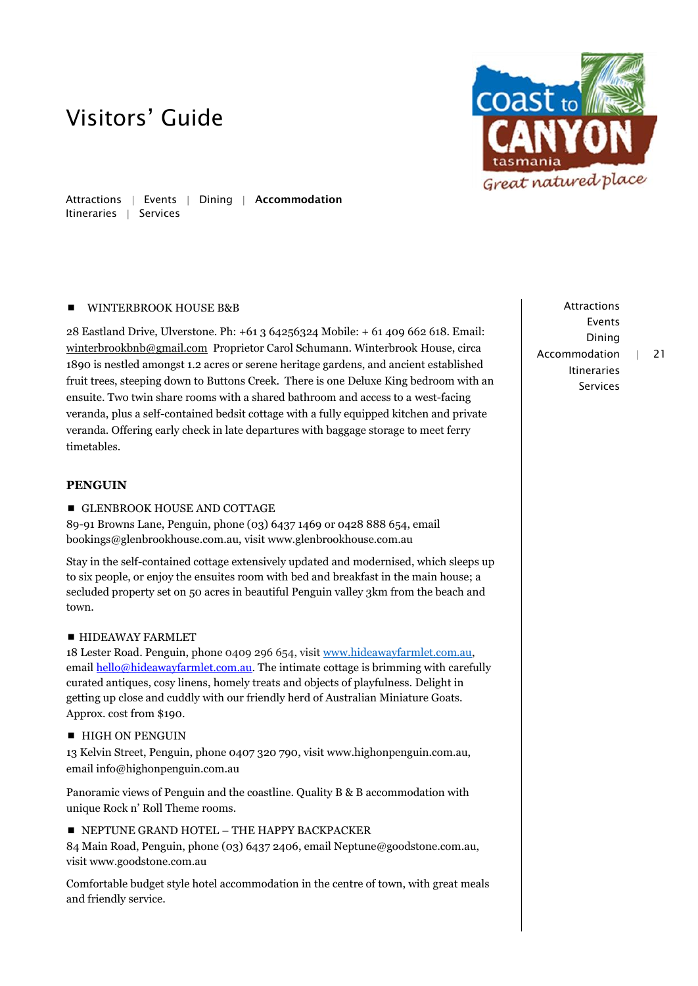

Attractions | Events | Dining | Accommodation Itineraries | Services

### **WINTERBROOK HOUSE B&B**

28 Eastland Drive, Ulverstone. Ph: +61 3 64256324 Mobile: + 61 409 662 618. Email: [winterbrookbnb@gmail.com](mailto:winterbrookbnb@gmail.com) Proprietor Carol Schumann. Winterbrook House, circa 1890 is nestled amongst 1.2 acres or serene heritage gardens, and ancient established fruit trees, steeping down to Buttons Creek. There is one Deluxe King bedroom with an ensuite. Two twin share rooms with a shared bathroom and access to a west-facing veranda, plus a self-contained bedsit cottage with a fully equipped kitchen and private veranda. Offering early check in late departures with baggage storage to meet ferry timetables.

### **PENGUIN**

### **GLENBROOK HOUSE AND COTTAGE**

89-91 Browns Lane, Penguin, phone (03) 6437 1469 or 0428 888 654, email bookings[@glenbrookhouse.com.](http://glenbrookhouse.com/)au, visit www.glenbrookhouse.com.au

Stay in the self-contained cottage extensively updated and modernised, which sleeps up to six people, or enjoy the ensuites room with bed and breakfast in the main house; a secluded property set on 50 acres in beautiful Penguin valley 3km from the beach and town.

### **HIDEAWAY FARMLET**

18 Lester Road. Penguin, phone 0409 296 654, visit [www.hideawayfarmlet.com.au,](http://www.hideawayfarmlet.com.au/) email [hello@hideawayfarmlet.com.au.](mailto:hello@hideawayfarmlet.com.au) The intimate cottage is brimming with carefully curated antiques, cosy linens, homely treats and objects of playfulness. Delight in getting up close and cuddly with our friendly herd of Australian Miniature Goats. Approx. cost from \$190.

**HIGH ON PENGUIN** 

13 Kelvin Street, Penguin, phone 0407 320 790, visit www.highonpenguin.com.au, email info@highonpenguin.com.au

Panoramic views of Penguin and the coastline. Quality B & B accommodation with unique Rock n' Roll Theme rooms.

NEPTUNE GRAND HOTEL – THE HAPPY BACKPACKER

84 Main Road, Penguin, phone (03) 6437 2406, email Neptune@goodstone.com.au, visit www.goodstone.com.au

Comfortable budget style hotel accommodation in the centre of town, with great meals and friendly service.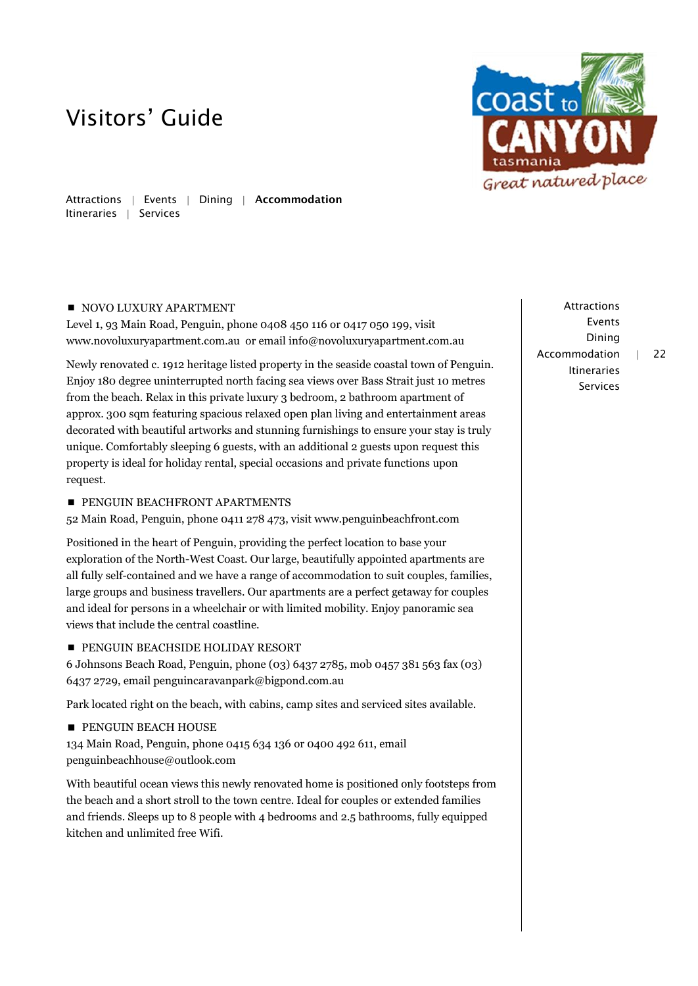

Attractions | Events | Dining | Accommodation Itineraries | Services

## NOVO LUXURY APARTMENT

Level 1, 93 Main Road, Penguin, phone 0408 450 116 or 0417 050 199, visit www.novoluxuryapartment.com.au or email info@novoluxuryapartment.com.au

Newly renovated c. 1912 heritage listed property in the seaside coastal town of Penguin. Enjoy 180 degree uninterrupted north facing sea views over Bass Strait just 10 metres from the beach. Relax in this private luxury 3 bedroom, 2 bathroom apartment of approx. 300 sqm featuring spacious relaxed open plan living and entertainment areas decorated with beautiful artworks and stunning furnishings to ensure your stay is truly unique. Comfortably sleeping 6 guests, with an additional 2 guests upon request this property is ideal for holiday rental, special occasions and private functions upon request.

## **PENGUIN BEACHFRONT APARTMENTS**

52 Main Road, Penguin, phone 0411 278 473, visit www.penguinbeachfront.com

Positioned in the heart of Penguin, providing the perfect location to base your exploration of the North-West Coast. Our large, beautifully appointed apartments are all fully self-contained and we have a range of accommodation to suit couples, families, large groups and business travellers. Our apartments are a perfect getaway for couples and ideal for persons in a wheelchair or with limited mobility. Enjoy panoramic sea views that include the central coastline.

## **PENGUIN BEACHSIDE HOLIDAY RESORT**

6 Johnsons Beach Road, Penguin, phone (03) 6437 2785, mob 0457 381 563 fax (03) 6437 2729, email penguincaravanpark@bigpond.com.au

Park located right on the beach, with cabins, camp sites and serviced sites available.

**PENGUIN BEACH HOUSE** 

134 Main Road, Penguin, phone 0415 634 136 or 0400 492 611, email penguinbeachhouse@outlook.com

With beautiful ocean views this newly renovated home is positioned only footsteps from the beach and a short stroll to the town centre. Ideal for couples or extended families and friends. Sleeps up to 8 people with 4 bedrooms and 2.5 bathrooms, fully equipped kitchen and unlimited free Wifi.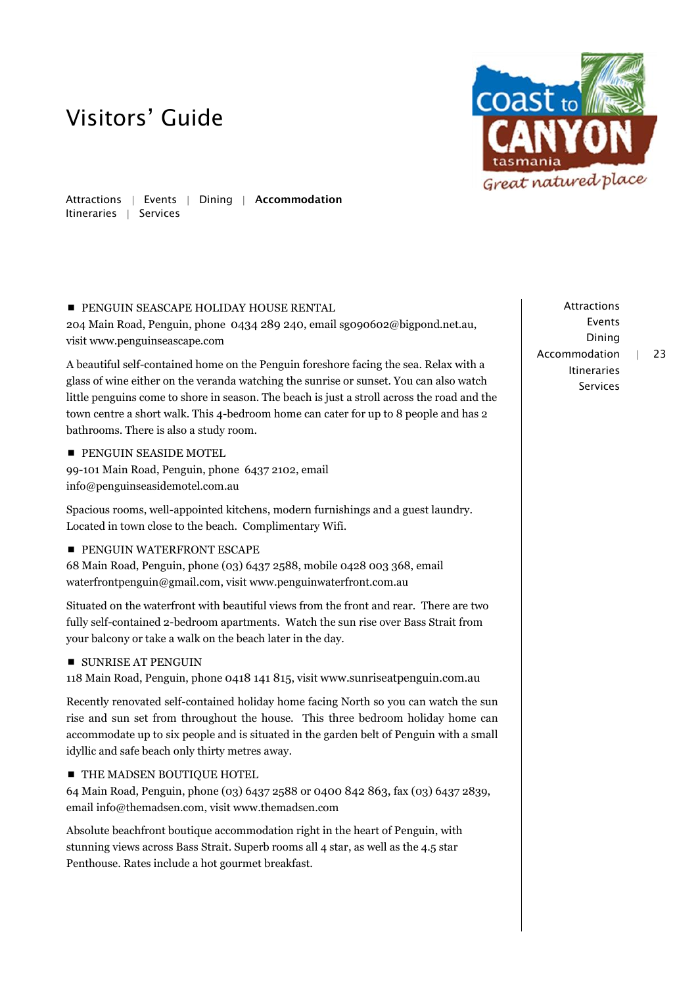

Attractions | Events | Dining | Accommodation Itineraries | Services

## **PENGUIN SEASCAPE HOLIDAY HOUSE RENTAL**

204 Main Road, Penguin, phone 0434 289 240, email sg090602@bigpond.net.au, visit www.penguinseascape.com

A beautiful self-contained home on the Penguin foreshore facing the sea. Relax with a glass of wine either on the veranda watching the sunrise or sunset. You can also watch little penguins come to shore in season. The beach is just a stroll across the road and the town centre a short walk. This 4-bedroom home can cater for up to 8 people and has 2 bathrooms. There is also a study room.

**PENGUIN SEASIDE MOTEL** 

99-101 Main Road, Penguin, phone 6437 2102, email info@penguinseasidemotel.com.au

Spacious rooms, well-appointed kitchens, modern furnishings and a guest laundry. Located in town close to the beach. Complimentary Wifi.

**PENGUIN WATERFRONT ESCAPE** 

68 Main Road, Penguin, phone (03) 6437 2588, mobile 0428 003 368, email waterfrontpenguin@gmail.com, visit www.penguinwaterfront.com.au

Situated on the waterfront with beautiful views from the front and rear. There are two fully self-contained 2-bedroom apartments. Watch the sun rise over Bass Strait from your balcony or take a walk on the beach later in the day.

## **SUNRISE AT PENGUIN**

118 Main Road, Penguin, phone 0418 141 815, visit www.sunriseatpenguin.com.au

Recently renovated self-contained holiday home facing North so you can watch the sun rise and sun set from throughout the house. This three bedroom holiday home can accommodate up to six people and is situated in the garden belt of Penguin with a small idyllic and safe beach only thirty metres away.

## **THE MADSEN BOUTIQUE HOTEL**

64 Main Road, Penguin, phone (03) 6437 2588 or 0400 842 863, fax (03) 6437 2839, email [info@themadsen.com,](mailto:info@themadsen.com) visit [www.themadsen.com](http://www.themadsen.com/)

Absolute beachfront boutique accommodation right in the heart of Penguin, with stunning views across Bass Strait. Superb rooms all 4 star, as well as the 4.5 star Penthouse. Rates include a hot gourmet breakfast.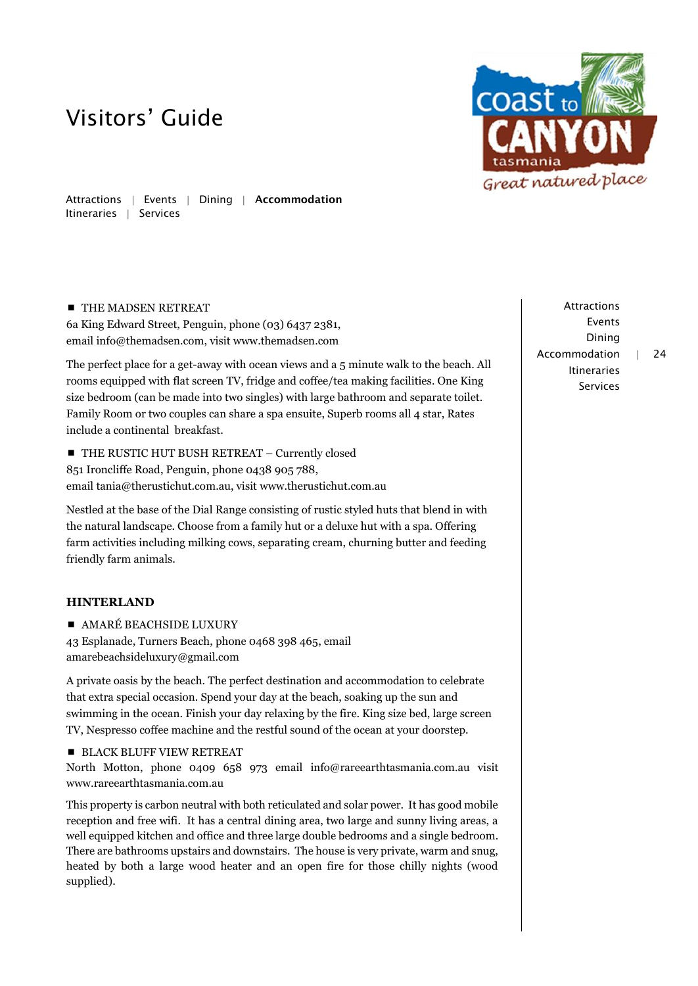

Attractions | Events | Dining | Accommodation Itineraries | Services

## **THE MADSEN RETREAT**

6a King Edward Street, Penguin, phone (03) 6437 2381, email [info@themadsen.com,](mailto:info@themadsen.com) visit [www.themadsen.com](http://www.themadsen.com/)

The perfect place for a get-away with ocean views and a 5 minute walk to the beach. All rooms equipped with flat screen TV, fridge and coffee/tea making facilities. One King size bedroom (can be made into two singles) with large bathroom and separate toilet. Family Room or two couples can share a spa ensuite, Superb rooms all 4 star, Rates include a continental breakfast.

**THE RUSTIC HUT BUSH RETREAT - Currently closed** 851 Ironcliffe Road, Penguin, phone 0438 905 788, email tania@therustichut.com.au, visit www.therustichut.com.au

Nestled at the base of the Dial Range consisting of rustic styled huts that blend in with the natural landscape. Choose from a family hut or a deluxe hut with a spa. Offering farm activities including milking cows, separating cream, churning butter and feeding friendly farm animals.

## **HINTERLAND**

**AMARÉ BEACHSIDE LUXURY** 

43 Esplanade, Turners Beach, phone 0468 398 465, email amarebeachsideluxury@gmail.com

A private oasis by the beach. The perfect destination and accommodation to celebrate that extra special occasion. Spend your day at the beach, soaking up the sun and swimming in the ocean. Finish your day relaxing by the fire. King size bed, large screen TV, Nespresso coffee machine and the restful sound of the ocean at your doorstep.

**BLACK BLUFF VIEW RETREAT** 

North Motton, phone 0409 658 973 email [info@rareearthtasmania.com.au](mailto:info@rareearthtasmania.com.au) visit [www.rareearthtasmania.com.au](http://www.rareearthtasmania.com.au/)

This property is carbon neutral with both reticulated and solar power. It has good mobile reception and free wifi. It has a central dining area, two large and sunny living areas, a well equipped kitchen and office and three large double bedrooms and a single bedroom. There are bathrooms upstairs and downstairs. The house is very private, warm and snug, heated by both a large wood heater and an open fire for those chilly nights (wood supplied).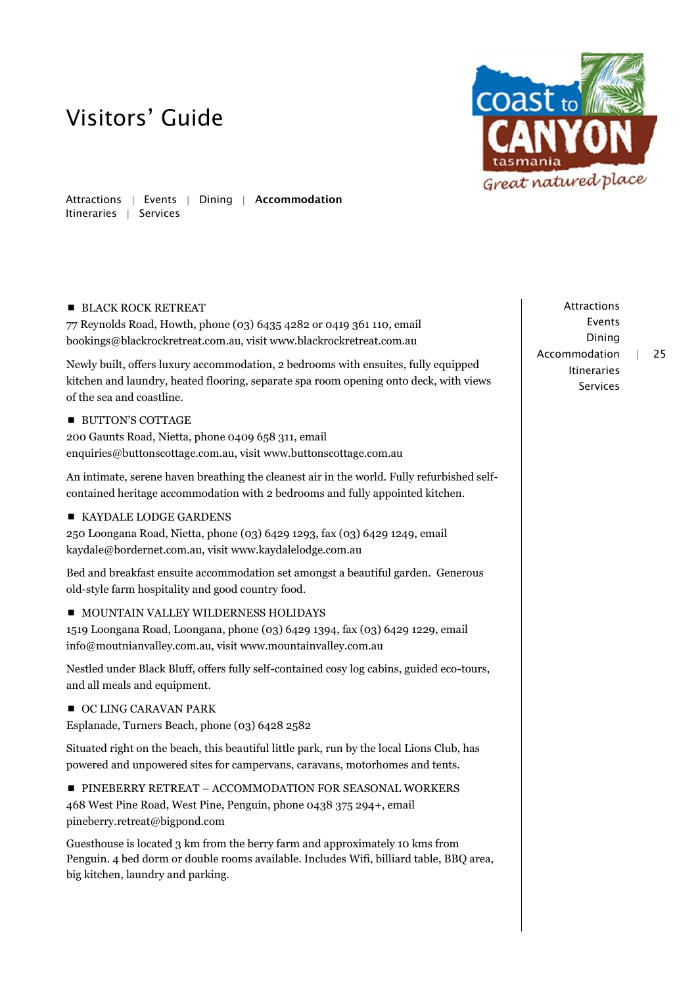

Attractions | Events | Dining | Accommodation Itineraries | Services

## **BLACK ROCK RETREAT**

77 Reynolds Road, Howth, phone (03) 6435 4282 or 0419 361 110, email [bookings@blackrockretreat.com.](mailto:bookings@blackrockretreat.com)au, visit www.blackrockretreat.com.au

Newly built, offers luxury accommodation, 2 bedrooms with ensuites, fully equipped kitchen and laundry, heated flooring, separate spa room opening onto deck, with views of the sea and coastline.

## **BUTTON'S COTTAGE**

200 Gaunts Road, Nietta, phone 0409 658 311, email enquiries@buttonscottage.com.au, visit www.buttonscottage.com.au

An intimate, serene haven breathing the cleanest air in the world. Fully refurbished selfcontained heritage accommodation with 2 bedrooms and fully appointed kitchen.

## KAYDALE LODGE GARDENS

250 Loongana Road, Nietta, phone (03) 6429 1293, fax (03) 6429 1249, email kaydale@bordernet.com.au, visit www.kaydalelodge.com.au

Bed and breakfast ensuite accommodation set amongst a beautiful garden. Generous old-style farm hospitality and good country food.

## **MOUNTAIN VALLEY WILDERNESS HOLIDAYS**

1519 Loongana Road, Loongana, phone (03) 6429 1394, fax (03) 6429 1229, email info@moutnianvalley.com.au, visit www.mountainvalley.com.au

Nestled under Black Bluff, offers fully self-contained cosy log cabins, guided eco-tours, and all meals and equipment.

## OC LING CARAVAN PARK

Esplanade, Turners Beach, phone (03) 6428 2582

Situated right on the beach, this beautiful little park, run by the local Lions Club, has powered and unpowered sites for campervans, caravans, motorhomes and tents.

**PINEBERRY RETREAT – ACCOMMODATION FOR SEASONAL WORKERS** 468 West Pine Road, West Pine, Penguin, phone 0438 375 294+, email pineberry.retreat@bigpond.com

Guesthouse is located 3 km from the berry farm and approximately 10 kms from Penguin. 4 bed dorm or double rooms available. Includes Wifi, billiard table, BBQ area, big kitchen, laundry and parking.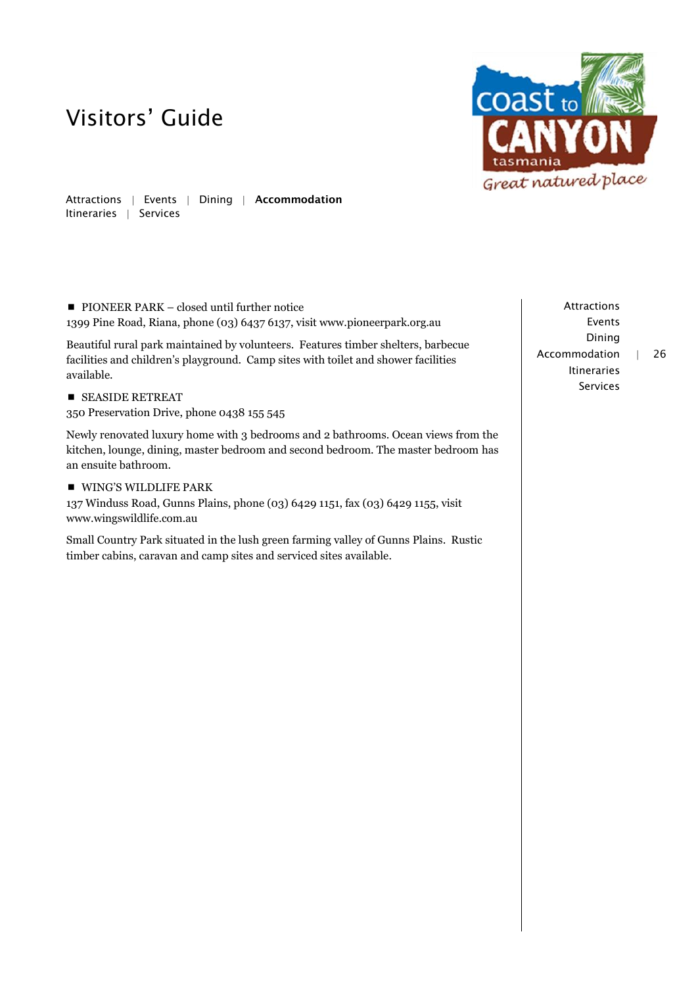

Attractions | Events | Dining | Accommodation Itineraries | Services

**PIONEER PARK – closed until further notice** 1399 Pine Road, Riana, phone (03) 6437 6137, visit www.pioneerpark.org.au

Beautiful rural park maintained by volunteers. Features timber shelters, barbecue facilities and children's playground. Camp sites with toilet and shower facilities available.

**SEASIDE RETREAT** 

350 Preservation Drive, phone 0438 155 545

Newly renovated luxury home with 3 bedrooms and 2 bathrooms. Ocean views from the kitchen, lounge, dining, master bedroom and second bedroom. The master bedroom has an ensuite bathroom.

**WING'S WILDLIFE PARK** 

137 Winduss Road, Gunns Plains, phone (03) 6429 1151, fax (03) 6429 1155, visit www.wingswildlife.com.au

Small Country Park situated in the lush green farming valley of Gunns Plains. Rustic timber cabins, caravan and camp sites and serviced sites available.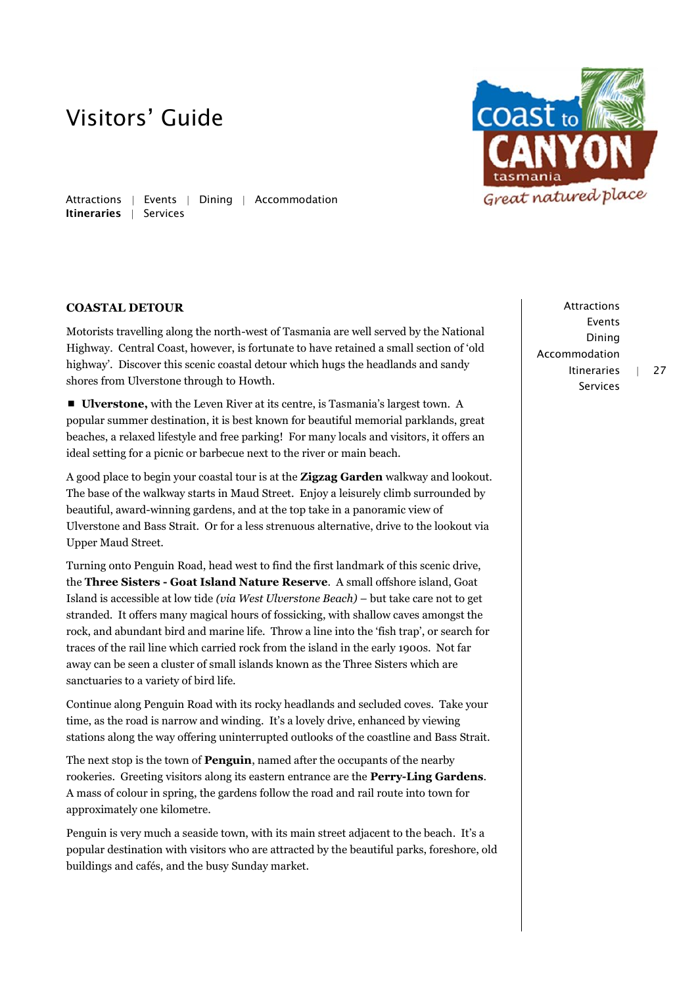Attractions | Events | Dining | Accommodation Itineraries | Services

### **COASTAL DETOUR**

Motorists travelling along the north-west of Tasmania are well served by the National Highway. Central Coast, however, is fortunate to have retained a small section of 'old highway'. Discover this scenic coastal detour which hugs the headlands and sandy shores from Ulverstone through to Howth.

 **Ulverstone,** with the Leven River at its centre, is Tasmania's largest town. A popular summer destination, it is best known for beautiful memorial parklands, great beaches, a relaxed lifestyle and free parking! For many locals and visitors, it offers an ideal setting for a picnic or barbecue next to the river or main beach.

A good place to begin your coastal tour is at the **Zigzag Garden** walkway and lookout. The base of the walkway starts in Maud Street. Enjoy a leisurely climb surrounded by beautiful, award-winning gardens, and at the top take in a panoramic view of Ulverstone and Bass Strait. Or for a less strenuous alternative, drive to the lookout via Upper Maud Street.

Turning onto Penguin Road, head west to find the first landmark of this scenic drive, the **Three Sisters - Goat Island Nature Reserve**. A small offshore island, Goat Island is accessible at low tide *(via West Ulverstone Beach)* – but take care not to get stranded. It offers many magical hours of fossicking, with shallow caves amongst the rock, and abundant bird and marine life. Throw a line into the 'fish trap', or search for traces of the rail line which carried rock from the island in the early 1900s. Not far away can be seen a cluster of small islands known as the Three Sisters which are sanctuaries to a variety of bird life.

Continue along Penguin Road with its rocky headlands and secluded coves. Take your time, as the road is narrow and winding. It's a lovely drive, enhanced by viewing stations along the way offering uninterrupted outlooks of the coastline and Bass Strait.

The next stop is the town of **Penguin**, named after the occupants of the nearby rookeries. Greeting visitors along its eastern entrance are the **Perry-Ling Gardens**. A mass of colour in spring, the gardens follow the road and rail route into town for approximately one kilometre.

Penguin is very much a seaside town, with its main street adjacent to the beach. It's a popular destination with visitors who are attracted by the beautiful parks, foreshore, old buildings and cafés, and the busy Sunday market.

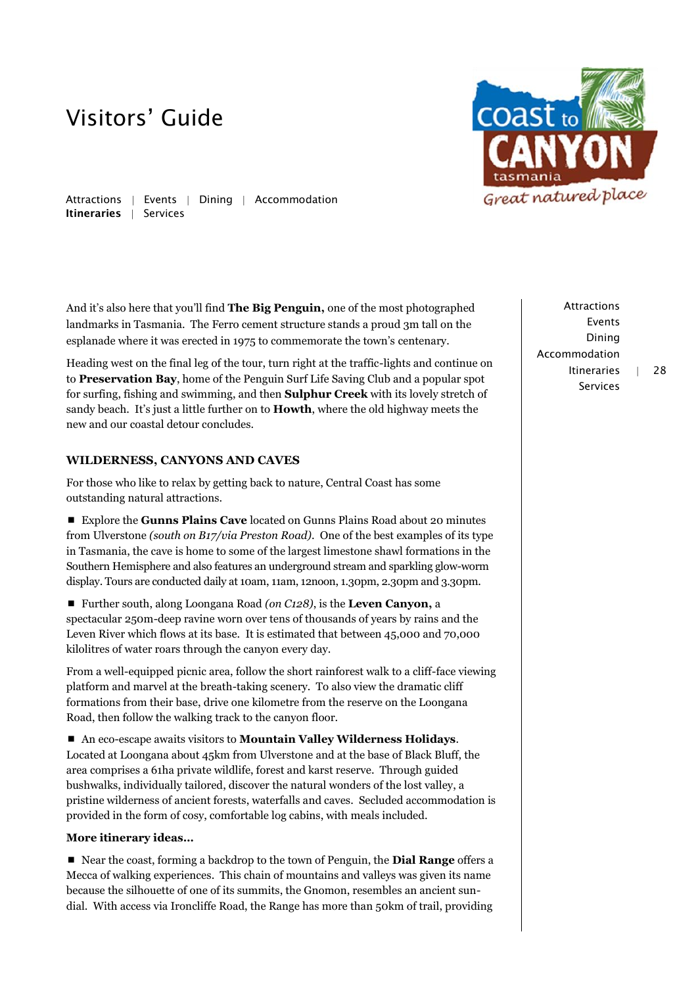

Attractions | Events | Dining | Accommodation Itineraries | Services

And it's also here that you'll find **The Big Penguin,** one of the most photographed landmarks in Tasmania. The Ferro cement structure stands a proud 3m tall on the esplanade where it was erected in 1975 to commemorate the town's centenary.

Heading west on the final leg of the tour, turn right at the traffic-lights and continue on to **Preservation Bay**, home of the Penguin Surf Life Saving Club and a popular spot for surfing, fishing and swimming, and then **Sulphur Creek** with its lovely stretch of sandy beach. It's just a little further on to **Howth**, where the old highway meets the new and our coastal detour concludes.

## **WILDERNESS, CANYONS AND CAVES**

For those who like to relax by getting back to nature, Central Coast has some outstanding natural attractions.

 Explore the **Gunns Plains Cave** located on Gunns Plains Road about 20 minutes from Ulverstone *(south on B17/via Preston Road)*. One of the best examples of its type in Tasmania, the cave is home to some of the largest limestone shawl formations in the Southern Hemisphere and also features an underground stream and sparkling glow-worm display. Tours are conducted daily at 10am, 11am, 12noon, 1.30pm, 2.30pm and 3.30pm.

■ Further south, along Loongana Road (on C128), is the **Leven Canyon**, a spectacular 250m-deep ravine worn over tens of thousands of years by rains and the Leven River which flows at its base. It is estimated that between 45,000 and 70,000 kilolitres of water roars through the canyon every day.

From a well-equipped picnic area, follow the short rainforest walk to a cliff-face viewing platform and marvel at the breath-taking scenery. To also view the dramatic cliff formations from their base, drive one kilometre from the reserve on the Loongana Road, then follow the walking track to the canyon floor.

 An eco-escape awaits visitors to **Mountain Valley Wilderness Holidays**. Located at Loongana about 45km from Ulverstone and at the base of Black Bluff, the area comprises a 61ha private wildlife, forest and karst reserve. Through guided bushwalks, individually tailored, discover the natural wonders of the lost valley, a pristine wilderness of ancient forests, waterfalls and caves. Secluded accommodation is provided in the form of cosy, comfortable log cabins, with meals included.

### **More itinerary ideas…**

 Near the coast, forming a backdrop to the town of Penguin, the **Dial Range** offers a Mecca of walking experiences. This chain of mountains and valleys was given its name because the silhouette of one of its summits, the Gnomon, resembles an ancient sundial. With access via Ironcliffe Road, the Range has more than 50km of trail, providing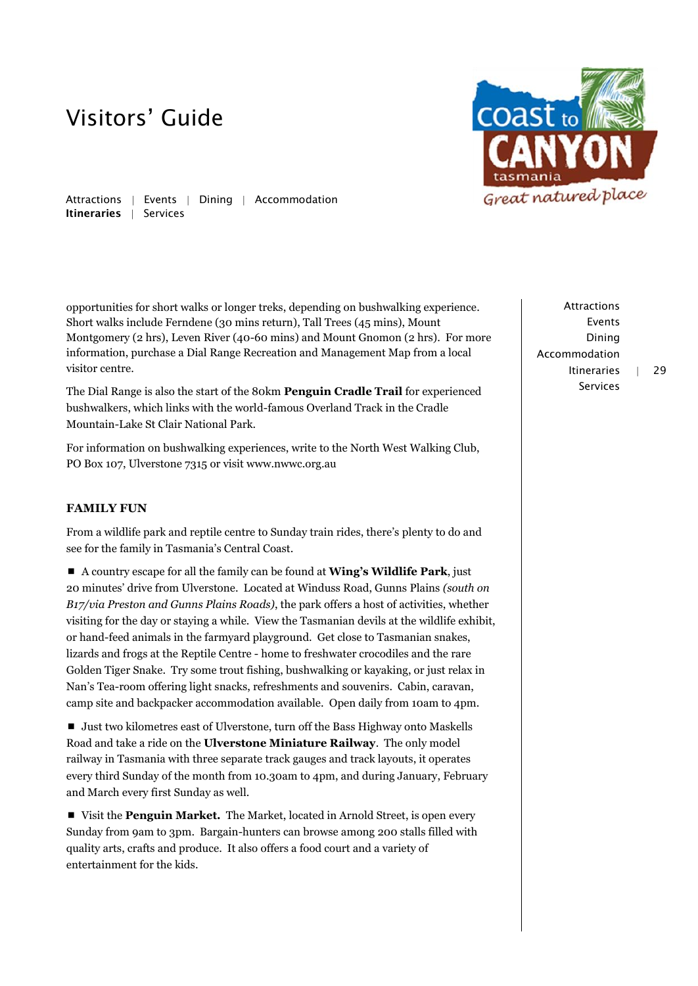

Attractions | Events | Dining | Accommodation Itineraries | Services

opportunities for short walks or longer treks, depending on bushwalking experience. Short walks include Ferndene (30 mins return), Tall Trees (45 mins), Mount Montgomery (2 hrs), Leven River (40-60 mins) and Mount Gnomon (2 hrs). For more information, purchase a Dial Range Recreation and Management Map from a local visitor centre.

The Dial Range is also the start of the 80km **Penguin Cradle Trail** for experienced bushwalkers, which links with the world-famous Overland Track in the Cradle Mountain-Lake St Clair National Park.

For information on bushwalking experiences, write to the North West Walking Club, PO Box 107, Ulverstone 7315 or visi[t www.nwwc.org.au](http://www.nwwc.org.au/)

## **FAMILY FUN**

From a wildlife park and reptile centre to Sunday train rides, there's plenty to do and see for the family in Tasmania's Central Coast.

 A country escape for all the family can be found at **Wing's Wildlife Park**, just 20 minutes' drive from Ulverstone. Located at Winduss Road, Gunns Plains *(south on B17/via Preston and Gunns Plains Roads)*, the park offers a host of activities, whether visiting for the day or staying a while. View the Tasmanian devils at the wildlife exhibit, or hand-feed animals in the farmyard playground. Get close to Tasmanian snakes, lizards and frogs at the Reptile Centre - home to freshwater crocodiles and the rare Golden Tiger Snake. Try some trout fishing, bushwalking or kayaking, or just relax in Nan's Tea-room offering light snacks, refreshments and souvenirs. Cabin, caravan, camp site and backpacker accommodation available. Open daily from 10am to 4pm.

■ Just two kilometres east of Ulverstone, turn off the Bass Highway onto Maskells Road and take a ride on the **Ulverstone Miniature Railway**. The only model railway in Tasmania with three separate track gauges and track layouts, it operates every third Sunday of the month from 10.30am to 4pm, and during January, February and March every first Sunday as well.

 Visit the **Penguin Market.** The Market, located in Arnold Street, is open every Sunday from 9am to 3pm. Bargain-hunters can browse among 200 stalls filled with quality arts, crafts and produce. It also offers a food court and a variety of entertainment for the kids.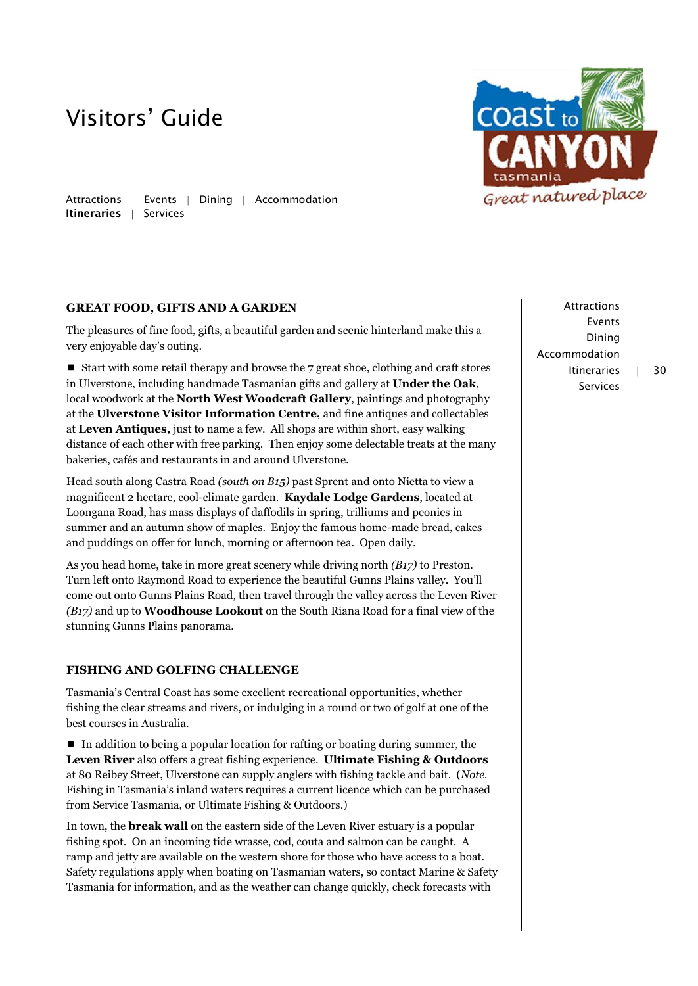**COAST** to Great natured place

Attractions | Events | Dining | Accommodation Itineraries | Services

### **GREAT FOOD, GIFTS AND A GARDEN**

The pleasures of fine food, gifts, a beautiful garden and scenic hinterland make this a very enjoyable day's outing.

 $\blacksquare$  Start with some retail therapy and browse the 7 great shoe, clothing and craft stores in Ulverstone, including handmade Tasmanian gifts and gallery at **Under the Oak**, local woodwork at the **North West Woodcraft Gallery**, paintings and photography at the **Ulverstone Visitor Information Centre,** and fine antiques and collectables at **Leven Antiques,** just to name a few. All shops are within short, easy walking distance of each other with free parking. Then enjoy some delectable treats at the many bakeries, cafés and restaurants in and around Ulverstone.

Head south along Castra Road *(south on B15)* past Sprent and onto Nietta to view a magnificent 2 hectare, cool-climate garden. **Kaydale Lodge Gardens**, located at Loongana Road, has mass displays of daffodils in spring, trilliums and peonies in summer and an autumn show of maples. Enjoy the famous home-made bread, cakes and puddings on offer for lunch, morning or afternoon tea. Open daily.

As you head home, take in more great scenery while driving north *(B17)* to Preston. Turn left onto Raymond Road to experience the beautiful Gunns Plains valley. You'll come out onto Gunns Plains Road, then travel through the valley across the Leven River *(B17)* and up to **Woodhouse Lookout** on the South Riana Road for a final view of the stunning Gunns Plains panorama.

### **FISHING AND GOLFING CHALLENGE**

Tasmania's Central Coast has some excellent recreational opportunities, whether fishing the clear streams and rivers, or indulging in a round or two of golf at one of the best courses in Australia.

 In addition to being a popular location for rafting or boating during summer, the **Leven River** also offers a great fishing experience. **Ultimate Fishing & Outdoors** at 80 Reibey Street, Ulverstone can supply anglers with fishing tackle and bait. (*Note.* Fishing in Tasmania's inland waters requires a current licence which can be purchased from Service Tasmania, or Ultimate Fishing & Outdoors.)

In town, the **break wall** on the eastern side of the Leven River estuary is a popular fishing spot. On an incoming tide wrasse, cod, couta and salmon can be caught. A ramp and jetty are available on the western shore for those who have access to a boat. Safety regulations apply when boating on Tasmanian waters, so contact Marine & Safety Tasmania for information, and as the weather can change quickly, check forecasts with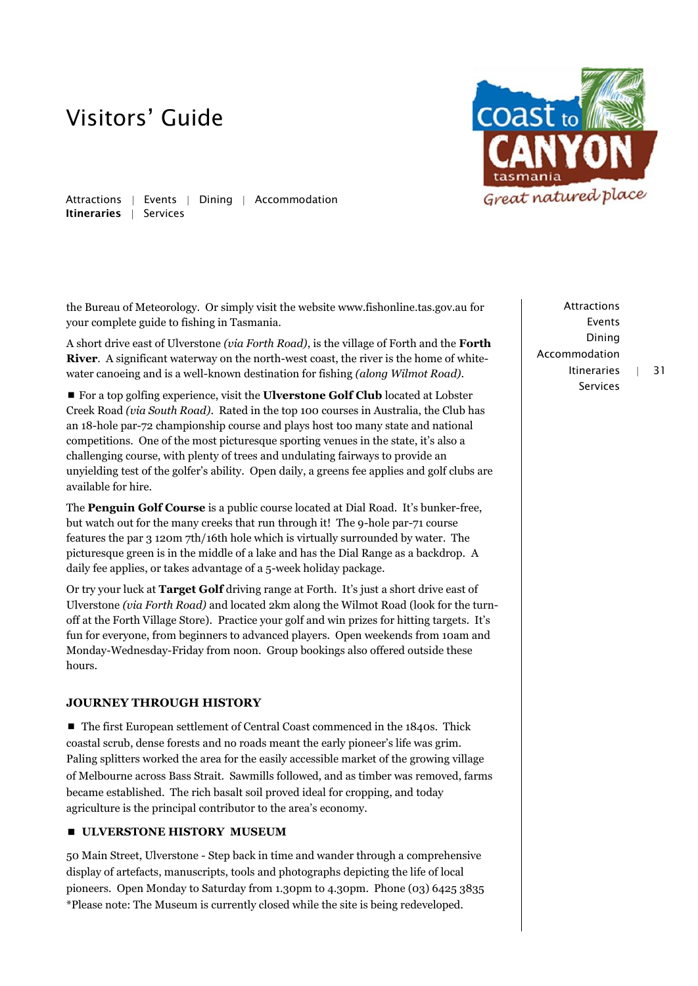

Attractions | Events | Dining | Accommodation Itineraries | Services

the Bureau of Meteorology. Or simply visit the websit[e www.fishonline.tas.gov.au](http://www.fishonline.tas.gov.au/) for your complete guide to fishing in Tasmania.

A short drive east of Ulverstone *(via Forth Road)*, is the village of Forth and the **Forth River**. A significant waterway on the north-west coast, the river is the home of whitewater canoeing and is a well-known destination for fishing *(along Wilmot Road)*.

■ For a top golfing experience, visit the **Ulverstone Golf Club** located at Lobster Creek Road *(via South Road)*. Rated in the top 100 courses in Australia, the Club has an 18-hole par-72 championship course and plays host too many state and national competitions. One of the most picturesque sporting venues in the state, it's also a challenging course, with plenty of trees and undulating fairways to provide an unyielding test of the golfer's ability. Open daily, a greens fee applies and golf clubs are available for hire.

The **Penguin Golf Course** is a public course located at Dial Road. It's bunker-free, but watch out for the many creeks that run through it! The 9-hole par-71 course features the par 3 120m 7th/16th hole which is virtually surrounded by water. The picturesque green is in the middle of a lake and has the Dial Range as a backdrop. A daily fee applies, or takes advantage of a 5-week holiday package.

Or try your luck at **Target Golf** driving range at Forth. It's just a short drive east of Ulverstone *(via Forth Road)* and located 2km along the Wilmot Road (look for the turnoff at the Forth Village Store). Practice your golf and win prizes for hitting targets. It's fun for everyone, from beginners to advanced players. Open weekends from 10am and Monday-Wednesday-Friday from noon. Group bookings also offered outside these hours.

## **JOURNEY THROUGH HISTORY**

■ The first European settlement of Central Coast commenced in the 1840s. Thick coastal scrub, dense forests and no roads meant the early pioneer's life was grim. Paling splitters worked the area for the easily accessible market of the growing village of Melbourne across Bass Strait. Sawmills followed, and as timber was removed, farms became established. The rich basalt soil proved ideal for cropping, and today agriculture is the principal contributor to the area's economy.

### **E** ULVERSTONE HISTORY MUSEUM

50 Main Street, Ulverstone - Step back in time and wander through a comprehensive display of artefacts, manuscripts, tools and photographs depicting the life of local pioneers. Open Monday to Saturday from 1.30pm to 4.30pm. Phone (03) 6425 3835 \*Please note: The Museum is currently closed while the site is being redeveloped.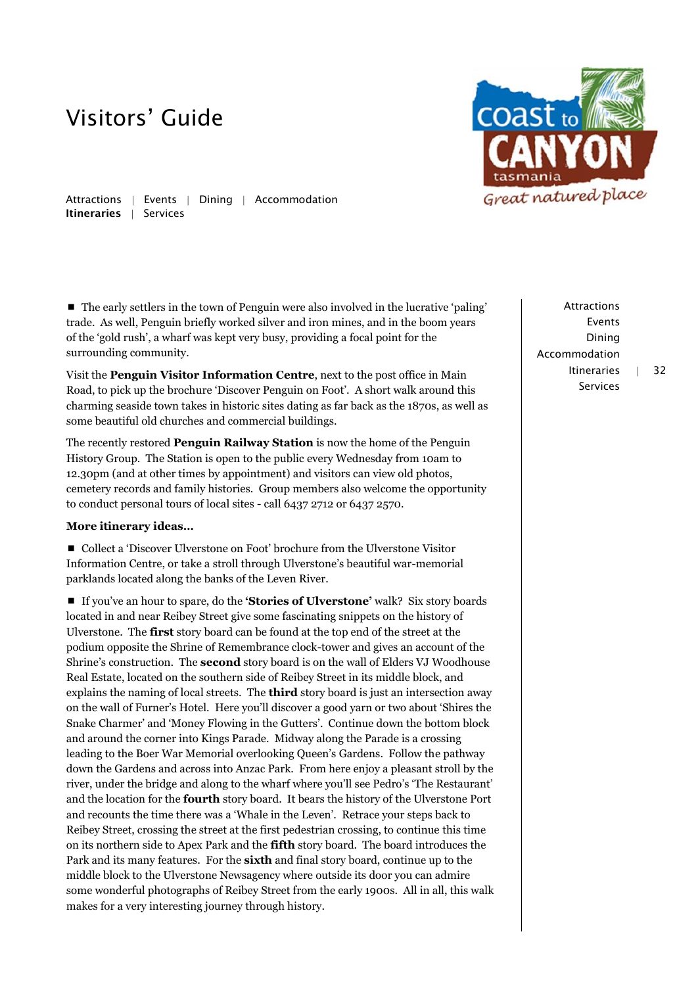

Attractions | Events | Dining | Accommodation Itineraries | Services

 $\blacksquare$  The early settlers in the town of Penguin were also involved in the lucrative 'paling' trade. As well, Penguin briefly worked silver and iron mines, and in the boom years of the 'gold rush', a wharf was kept very busy, providing a focal point for the surrounding community.

Visit the **Penguin Visitor Information Centre**, next to the post office in Main Road, to pick up the brochure 'Discover Penguin on Foot'. A short walk around this charming seaside town takes in historic sites dating as far back as the 1870s, as well as some beautiful old churches and commercial buildings.

The recently restored **Penguin Railway Station** is now the home of the Penguin History Group. The Station is open to the public every Wednesday from 10am to 12.30pm (and at other times by appointment) and visitors can view old photos, cemetery records and family histories. Group members also welcome the opportunity to conduct personal tours of local sites - call 6437 2712 or 6437 2570.

### **More itinerary ideas…**

 Collect a 'Discover Ulverstone on Foot' brochure from the Ulverstone Visitor Information Centre, or take a stroll through Ulverstone's beautiful war-memorial parklands located along the banks of the Leven River.

 If you've an hour to spare, do the **'Stories of Ulverstone'** walk? Six story boards located in and near Reibey Street give some fascinating snippets on the history of Ulverstone. The **first** story board can be found at the top end of the street at the podium opposite the Shrine of Remembrance clock-tower and gives an account of the Shrine's construction. The **second** story board is on the wall of Elders VJ Woodhouse Real Estate, located on the southern side of Reibey Street in its middle block, and explains the naming of local streets. The **third** story board is just an intersection away on the wall of Furner's Hotel. Here you'll discover a good yarn or two about 'Shires the Snake Charmer' and 'Money Flowing in the Gutters'. Continue down the bottom block and around the corner into Kings Parade. Midway along the Parade is a crossing leading to the Boer War Memorial overlooking Queen's Gardens. Follow the pathway down the Gardens and across into Anzac Park. From here enjoy a pleasant stroll by the river, under the bridge and along to the wharf where you'll see Pedro's 'The Restaurant' and the location for the **fourth** story board. It bears the history of the Ulverstone Port and recounts the time there was a 'Whale in the Leven'. Retrace your steps back to Reibey Street, crossing the street at the first pedestrian crossing, to continue this time on its northern side to Apex Park and the **fifth** story board. The board introduces the Park and its many features. For the **sixth** and final story board, continue up to the middle block to the Ulverstone Newsagency where outside its door you can admire some wonderful photographs of Reibey Street from the early 1900s. All in all, this walk makes for a very interesting journey through history.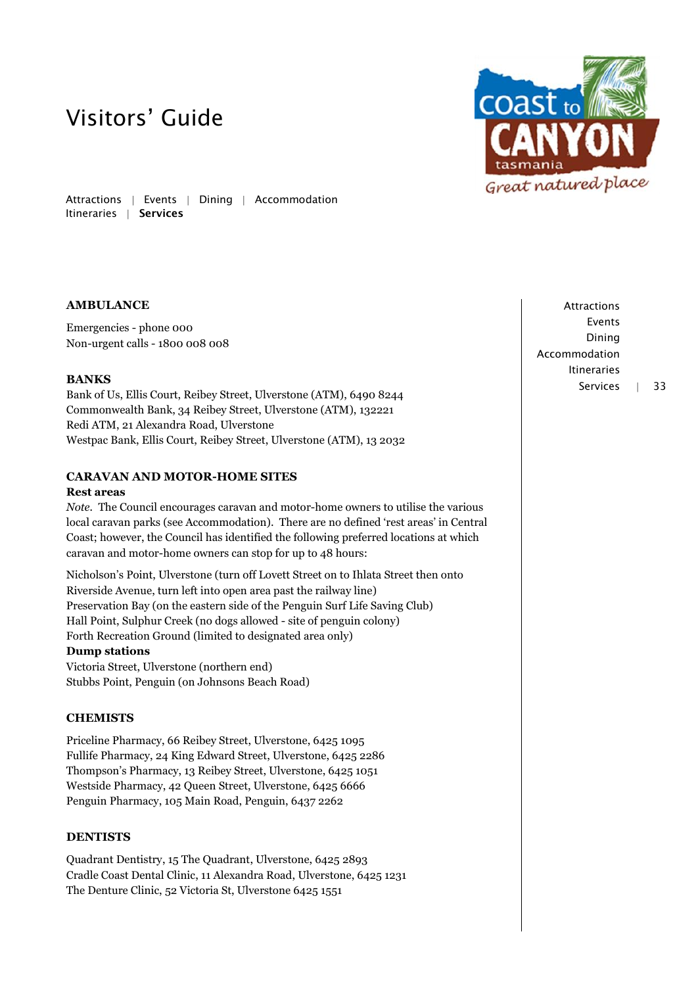Attractions | Events | Dining | Accommodation Itineraries | Services

### **AMBULANCE**

Emergencies - phone 000 Non-urgent calls - 1800 008 008

### **BANKS**

Bank of Us, Ellis Court, Reibey Street, Ulverstone (ATM), 6490 8244 Commonwealth Bank, 34 Reibey Street, Ulverstone (ATM), 132221 Redi ATM, 21 Alexandra Road, Ulverstone Westpac Bank, Ellis Court, Reibey Street, Ulverstone (ATM), 13 2032

### **CARAVAN AND MOTOR-HOME SITES**

#### **Rest areas**

*Note.* The Council encourages caravan and motor-home owners to utilise the various local caravan parks (see Accommodation). There are no defined 'rest areas' in Central Coast; however, the Council has identified the following preferred locations at which caravan and motor-home owners can stop for up to 48 hours:

Nicholson's Point, Ulverstone (turn off Lovett Street on to Ihlata Street then onto Riverside Avenue, turn left into open area past the railway line) Preservation Bay (on the eastern side of the Penguin Surf Life Saving Club) Hall Point, Sulphur Creek (no dogs allowed - site of penguin colony) Forth Recreation Ground (limited to designated area only)

#### **Dump stations**

Victoria Street, Ulverstone (northern end) Stubbs Point, Penguin (on Johnsons Beach Road)

### **CHEMISTS**

Priceline Pharmacy, 66 Reibey Street, Ulverstone, 6425 1095 Fullife Pharmacy, 24 King Edward Street, Ulverstone, 6425 2286 Thompson's Pharmacy, 13 Reibey Street, Ulverstone, 6425 1051 Westside Pharmacy, 42 Queen Street, Ulverstone, 6425 6666 Penguin Pharmacy, 105 Main Road, Penguin, 6437 2262

#### **DENTISTS**

Quadrant Dentistry, 15 The Quadrant, Ulverstone, 6425 2893 Cradle Coast Dental Clinic, 11 Alexandra Road, Ulverstone, 6425 1231 The Denture Clinic, 52 Victoria St, Ulverstone 6425 1551



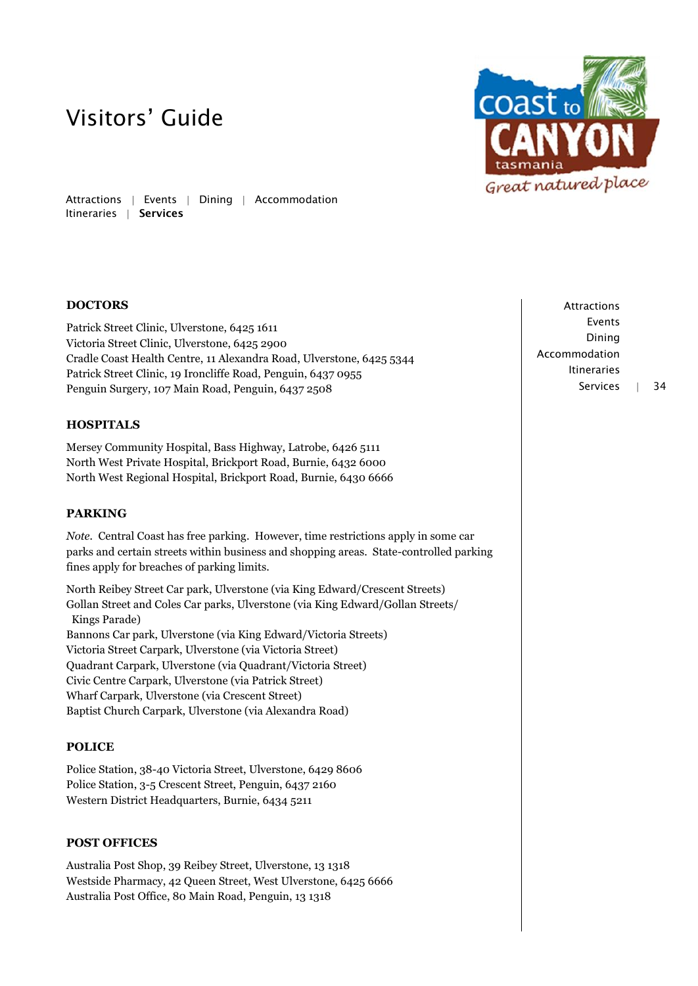

Attractions | Events | Dining | Accommodation Itineraries | Services

## **DOCTORS**

Patrick Street Clinic, Ulverstone, 6425 1611 Victoria Street Clinic, Ulverstone, 6425 2900 Cradle Coast Health Centre, 11 Alexandra Road, Ulverstone, 6425 5344 Patrick Street Clinic, 19 Ironcliffe Road, Penguin, 6437 0955 Penguin Surgery, 107 Main Road, Penguin, 6437 2508

### **HOSPITALS**

Mersey Community Hospital, Bass Highway, Latrobe, 6426 5111 North West Private Hospital, Brickport Road, Burnie, 6432 6000 North West Regional Hospital, Brickport Road, Burnie, 6430 6666

### **PARKING**

*Note.* Central Coast has free parking. However, time restrictions apply in some car parks and certain streets within business and shopping areas. State-controlled parking fines apply for breaches of parking limits.

North Reibey Street Car park, Ulverstone (via King Edward/Crescent Streets) Gollan Street and Coles Car parks, Ulverstone (via King Edward/Gollan Streets/ Kings Parade) Bannons Car park, Ulverstone (via King Edward/Victoria Streets) Victoria Street Carpark, Ulverstone (via Victoria Street) Quadrant Carpark, Ulverstone (via Quadrant/Victoria Street) Civic Centre Carpark, Ulverstone (via Patrick Street) Wharf Carpark, Ulverstone (via Crescent Street) Baptist Church Carpark, Ulverstone (via Alexandra Road)

### **POLICE**

Police Station, 38-40 Victoria Street, Ulverstone, 6429 8606 Police Station, 3-5 Crescent Street, Penguin, 6437 2160 Western District Headquarters, Burnie, 6434 5211

### **POST OFFICES**

Australia Post Shop, 39 Reibey Street, Ulverstone, 13 1318 Westside Pharmacy, 42 Queen Street, West Ulverstone, 6425 6666 Australia Post Office, 80 Main Road, Penguin, 13 1318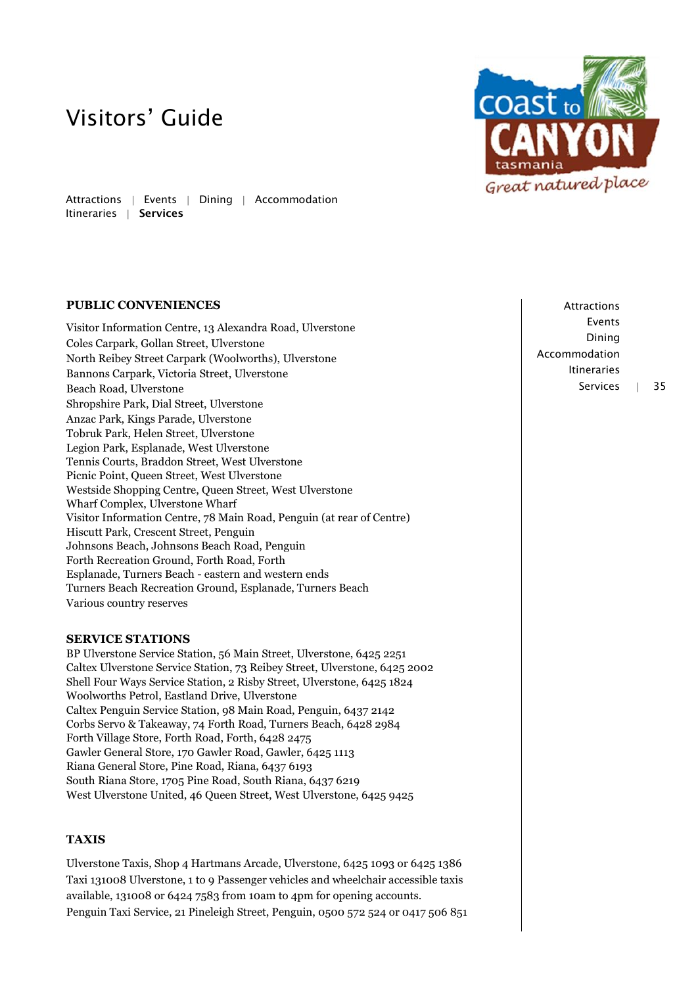Attractions | Events | Dining | Accommodation Itineraries | Services

### **PUBLIC CONVENIENCES**

Visitor Information Centre, 13 Alexandra Road, Ulverstone Coles Carpark, Gollan Street, Ulverstone North Reibey Street Carpark (Woolworths), Ulverstone Bannons Carpark, Victoria Street, Ulverstone Beach Road, Ulverstone Shropshire Park, Dial Street, Ulverstone Anzac Park, Kings Parade, Ulverstone Tobruk Park, Helen Street, Ulverstone Legion Park, Esplanade, West Ulverstone Tennis Courts, Braddon Street, West Ulverstone Picnic Point, Queen Street, West Ulverstone Westside Shopping Centre, Queen Street, West Ulverstone Wharf Complex, Ulverstone Wharf Visitor Information Centre, 78 Main Road, Penguin (at rear of Centre) Hiscutt Park, Crescent Street, Penguin Johnsons Beach, Johnsons Beach Road, Penguin Forth Recreation Ground, Forth Road, Forth Esplanade, Turners Beach - eastern and western ends Turners Beach Recreation Ground, Esplanade, Turners Beach Various country reserves

### **SERVICE STATIONS**

BP Ulverstone Service Station, 56 Main Street, Ulverstone, 6425 2251 Caltex Ulverstone Service Station, 73 Reibey Street, Ulverstone, 6425 2002 Shell Four Ways Service Station, 2 Risby Street, Ulverstone, 6425 1824 Woolworths Petrol, Eastland Drive, Ulverstone Caltex Penguin Service Station, 98 Main Road, Penguin, 6437 2142 Corbs Servo & Takeaway, 74 Forth Road, Turners Beach, 6428 2984 Forth Village Store, Forth Road, Forth, 6428 2475 Gawler General Store, 170 Gawler Road, Gawler, 6425 1113 Riana General Store, Pine Road, Riana, 6437 6193 South Riana Store, 1705 Pine Road, South Riana, 6437 6219 West Ulverstone United, 46 Queen Street, West Ulverstone, 6425 9425

## **TAXIS**

Ulverstone Taxis, Shop 4 Hartmans Arcade, Ulverstone, 6425 1093 or 6425 1386 Taxi 131008 Ulverstone, 1 to 9 Passenger vehicles and wheelchair accessible taxis available, 131008 or 6424 7583 from 10am to 4pm for opening accounts. Penguin Taxi Service, 21 Pineleigh Street, Penguin, 0500 572 524 or 0417 506 851